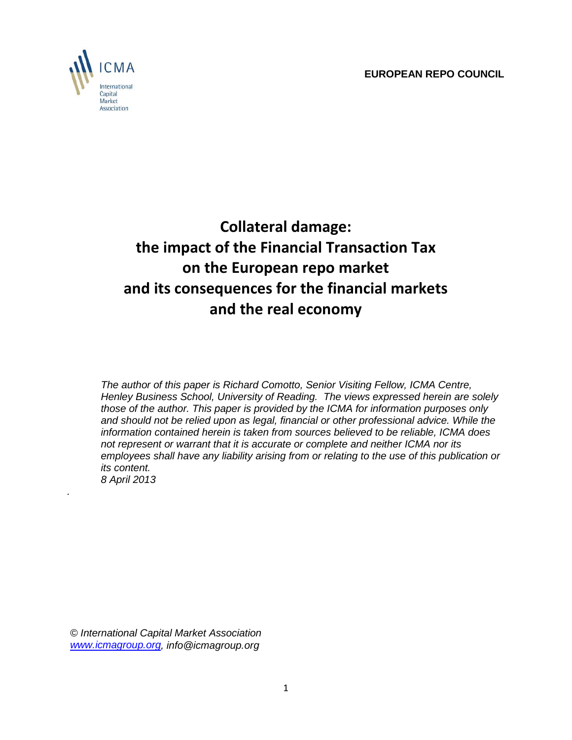**EUROPEAN REPO COUNCIL**



*.*

# **Collateral damage: the impact of the Financial Transaction Tax on the European repo market and its consequences for the financial markets and the real economy**

*The author of this paper is Richard Comotto, Senior Visiting Fellow, ICMA Centre, Henley Business School, University of Reading. The views expressed herein are solely those of the author. This paper is provided by the ICMA for information purposes only and should not be relied upon as legal, financial or other professional advice. While the information contained herein is taken from sources believed to be reliable, ICMA does not represent or warrant that it is accurate or complete and neither ICMA nor its employees shall have any liability arising from or relating to the use of this publication or its content. 8 April 2013*

*© International Capital Market Association [www.icmagroup.org,](http://www.icmagroup.org/) info@icmagroup.org*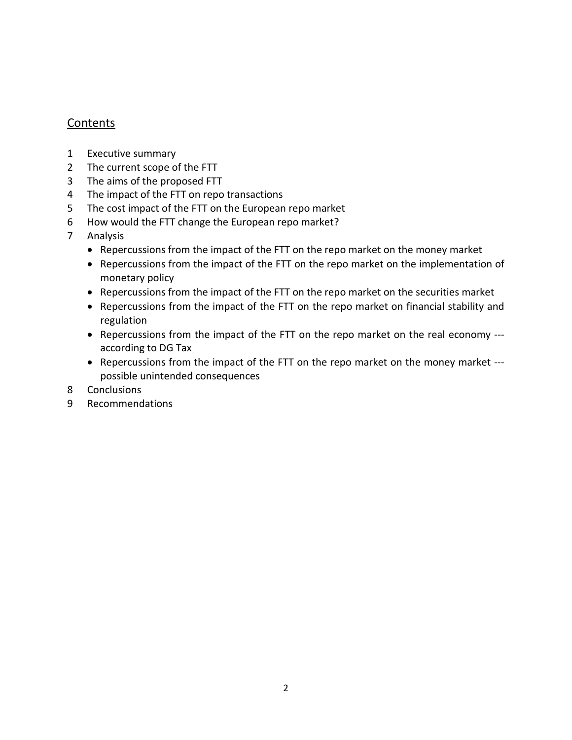### **Contents**

- 1 Executive summary
- 2 The current scope of the FTT
- 3 The aims of the proposed FTT
- 4 The impact of the FTT on repo transactions
- 5 The cost impact of the FTT on the European repo market
- 6 How would the FTT change the European repo market?
- 7 Analysis
	- Repercussions from the impact of the FTT on the repo market on the money market
	- Repercussions from the impact of the FTT on the repo market on the implementation of monetary policy
	- Repercussions from the impact of the FTT on the repo market on the securities market
	- Repercussions from the impact of the FTT on the repo market on financial stability and regulation
	- Repercussions from the impact of the FTT on the repo market on the real economy -- according to DG Tax
	- Repercussions from the impact of the FTT on the repo market on the money market -- possible unintended consequences
- 8 Conclusions
- 9 Recommendations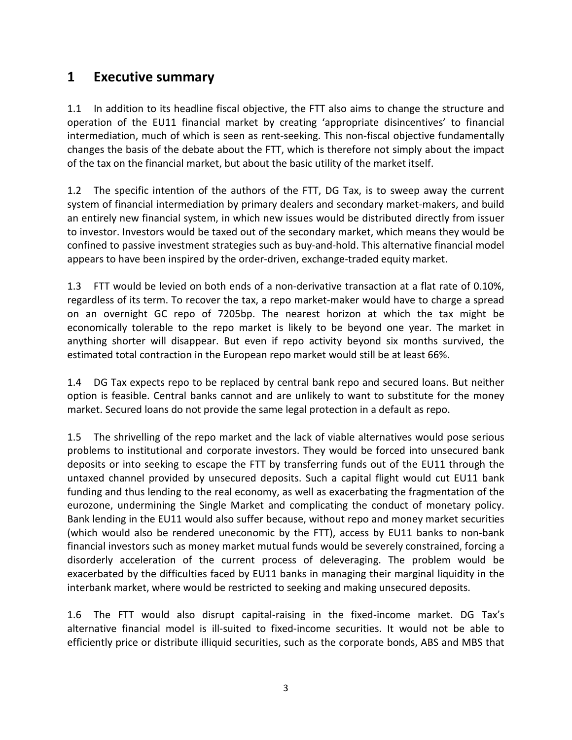### **1 Executive summary**

1.1 In addition to its headline fiscal objective, the FTT also aims to change the structure and operation of the EU11 financial market by creating 'appropriate disincentives' to financial intermediation, much of which is seen as rent-seeking. This non-fiscal objective fundamentally changes the basis of the debate about the FTT, which is therefore not simply about the impact of the tax on the financial market, but about the basic utility of the market itself.

1.2 The specific intention of the authors of the FTT, DG Tax, is to sweep away the current system of financial intermediation by primary dealers and secondary market-makers, and build an entirely new financial system, in which new issues would be distributed directly from issuer to investor. Investors would be taxed out of the secondary market, which means they would be confined to passive investment strategies such as buy-and-hold. This alternative financial model appears to have been inspired by the order-driven, exchange-traded equity market.

1.3 FTT would be levied on both ends of a non-derivative transaction at a flat rate of 0.10%, regardless of its term. To recover the tax, a repo market-maker would have to charge a spread on an overnight GC repo of 7205bp. The nearest horizon at which the tax might be economically tolerable to the repo market is likely to be beyond one year. The market in anything shorter will disappear. But even if repo activity beyond six months survived, the estimated total contraction in the European repo market would still be at least 66%.

1.4 DG Tax expects repo to be replaced by central bank repo and secured loans. But neither option is feasible. Central banks cannot and are unlikely to want to substitute for the money market. Secured loans do not provide the same legal protection in a default as repo.

1.5 The shrivelling of the repo market and the lack of viable alternatives would pose serious problems to institutional and corporate investors. They would be forced into unsecured bank deposits or into seeking to escape the FTT by transferring funds out of the EU11 through the untaxed channel provided by unsecured deposits. Such a capital flight would cut EU11 bank funding and thus lending to the real economy, as well as exacerbating the fragmentation of the eurozone, undermining the Single Market and complicating the conduct of monetary policy. Bank lending in the EU11 would also suffer because, without repo and money market securities (which would also be rendered uneconomic by the FTT), access by EU11 banks to non-bank financial investors such as money market mutual funds would be severely constrained, forcing a disorderly acceleration of the current process of deleveraging. The problem would be exacerbated by the difficulties faced by EU11 banks in managing their marginal liquidity in the interbank market, where would be restricted to seeking and making unsecured deposits.

1.6 The FTT would also disrupt capital-raising in the fixed-income market. DG Tax's alternative financial model is ill-suited to fixed-income securities. It would not be able to efficiently price or distribute illiquid securities, such as the corporate bonds, ABS and MBS that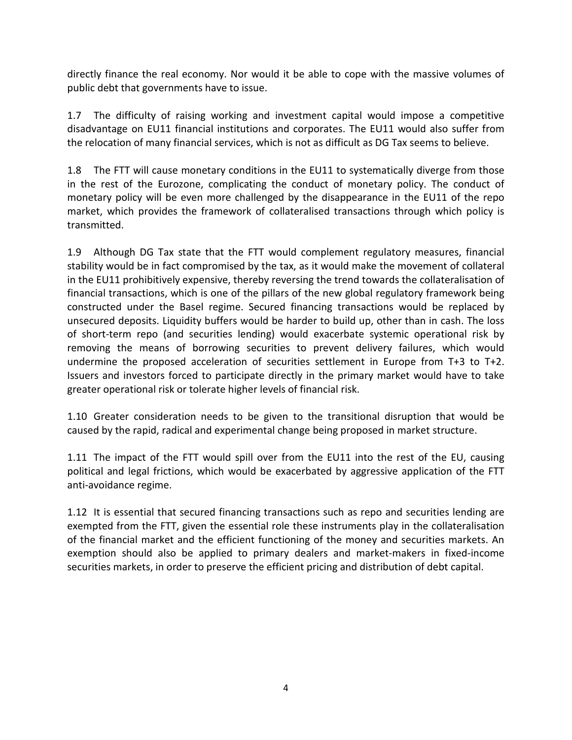directly finance the real economy. Nor would it be able to cope with the massive volumes of public debt that governments have to issue.

1.7 The difficulty of raising working and investment capital would impose a competitive disadvantage on EU11 financial institutions and corporates. The EU11 would also suffer from the relocation of many financial services, which is not as difficult as DG Tax seems to believe.

1.8 The FTT will cause monetary conditions in the EU11 to systematically diverge from those in the rest of the Eurozone, complicating the conduct of monetary policy. The conduct of monetary policy will be even more challenged by the disappearance in the EU11 of the repo market, which provides the framework of collateralised transactions through which policy is transmitted.

1.9 Although DG Tax state that the FTT would complement regulatory measures, financial stability would be in fact compromised by the tax, as it would make the movement of collateral in the EU11 prohibitively expensive, thereby reversing the trend towards the collateralisation of financial transactions, which is one of the pillars of the new global regulatory framework being constructed under the Basel regime. Secured financing transactions would be replaced by unsecured deposits. Liquidity buffers would be harder to build up, other than in cash. The loss of short-term repo (and securities lending) would exacerbate systemic operational risk by removing the means of borrowing securities to prevent delivery failures, which would undermine the proposed acceleration of securities settlement in Europe from T+3 to T+2. Issuers and investors forced to participate directly in the primary market would have to take greater operational risk or tolerate higher levels of financial risk.

1.10 Greater consideration needs to be given to the transitional disruption that would be caused by the rapid, radical and experimental change being proposed in market structure.

1.11 The impact of the FTT would spill over from the EU11 into the rest of the EU, causing political and legal frictions, which would be exacerbated by aggressive application of the FTT anti-avoidance regime.

1.12 It is essential that secured financing transactions such as repo and securities lending are exempted from the FTT, given the essential role these instruments play in the collateralisation of the financial market and the efficient functioning of the money and securities markets. An exemption should also be applied to primary dealers and market-makers in fixed-income securities markets, in order to preserve the efficient pricing and distribution of debt capital.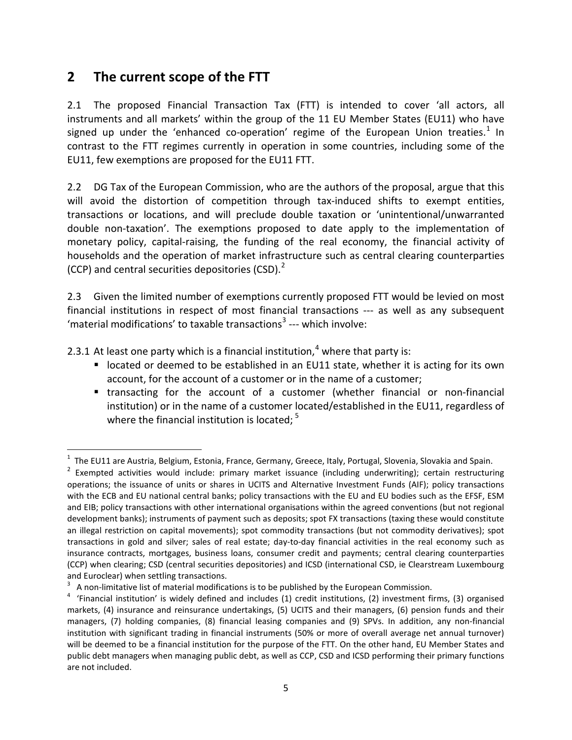### **2 The current scope of the FTT**

2.1 The proposed Financial Transaction Tax (FTT) is intended to cover 'all actors, all instruments and all markets' within the group of the 11 EU Member States (EU11) who have signed up under the 'enhanced co-operation' regime of the European Union treaties.<sup>[1](#page-4-0)</sup> In contrast to the FTT regimes currently in operation in some countries, including some of the EU11, few exemptions are proposed for the EU11 FTT.

2.2 DG Tax of the European Commission, who are the authors of the proposal, argue that this will avoid the distortion of competition through tax-induced shifts to exempt entities, transactions or locations, and will preclude double taxation or 'unintentional/unwarranted double non-taxation'. The exemptions proposed to date apply to the implementation of monetary policy, capital-raising, the funding of the real economy, the financial activity of households and the operation of market infrastructure such as central clearing counterparties (CCP) and central securities depositories (CSD). $<sup>2</sup>$  $<sup>2</sup>$  $<sup>2</sup>$ </sup>

2.3 Given the limited number of exemptions currently proposed FTT would be levied on most financial institutions in respect of most financial transactions --- as well as any subsequent 'material modifications' to taxable transactions<sup>[3](#page-4-2)</sup> --- which involve:

2.3.1 At least one party which is a financial institution,<sup>[4](#page-4-3)</sup> where that party is:

- **I** located or deemed to be established in an EU11 state, whether it is acting for its own account, for the account of a customer or in the name of a customer;
- transacting for the account of a customer (whether financial or non-financial institution) or in the name of a customer located/established in the EU11, regardless of where the financial institution is located;  $5$

<span id="page-4-0"></span> $1$  The EU11 are Austria, Belgium, Estonia, France, Germany, Greece, Italy, Portugal, Slovenia, Slovakia and Spain.

<span id="page-4-1"></span> $2$  Exempted activities would include: primary market issuance (including underwriting); certain restructuring operations; the issuance of units or shares in UCITS and Alternative Investment Funds (AIF); policy transactions with the ECB and EU national central banks; policy transactions with the EU and EU bodies such as the EFSF, ESM and EIB; policy transactions with other international organisations within the agreed conventions (but not regional development banks); instruments of payment such as deposits; spot FX transactions (taxing these would constitute an illegal restriction on capital movements); spot commodity transactions (but not commodity derivatives); spot transactions in gold and silver; sales of real estate; day-to-day financial activities in the real economy such as insurance contracts, mortgages, business loans, consumer credit and payments; central clearing counterparties (CCP) when clearing; CSD (central securities depositories) and ICSD (international CSD, ie Clearstream Luxembourg

<span id="page-4-3"></span>

<span id="page-4-4"></span><span id="page-4-2"></span>and Euroclear) when settling transactions.<br><sup>3</sup> A non-limitative list of material modifications is to be published by the European Commission.<br><sup>4</sup> 'Financial institution' is widely defined and includes (1) credit instituti markets, (4) insurance and reinsurance undertakings, (5) UCITS and their managers, (6) pension funds and their managers, (7) holding companies, (8) financial leasing companies and (9) SPVs. In addition, any non-financial institution with significant trading in financial instruments (50% or more of overall average net annual turnover) will be deemed to be a financial institution for the purpose of the FTT. On the other hand, EU Member States and public debt managers when managing public debt, as well as CCP, CSD and ICSD performing their primary functions are not included.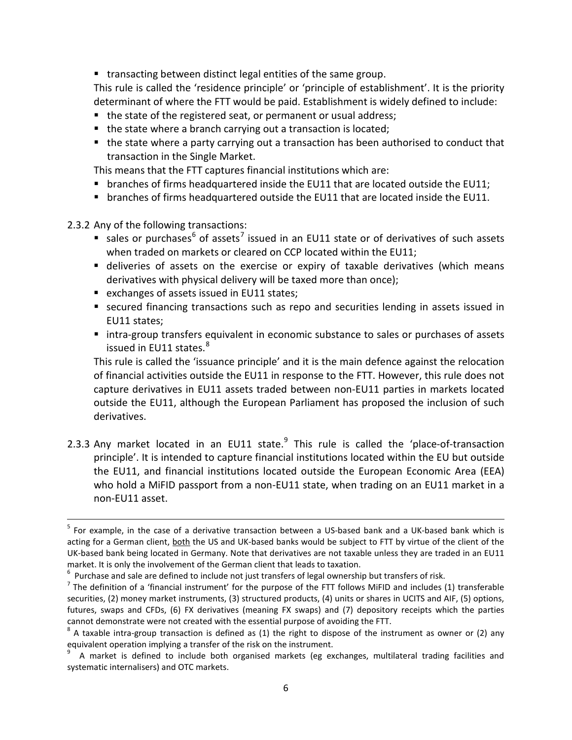**transacting between distinct legal entities of the same group.** 

This rule is called the 'residence principle' or 'principle of establishment'. It is the priority determinant of where the FTT would be paid. Establishment is widely defined to include:

- the state of the registered seat, or permanent or usual address;
- the state where a branch carrying out a transaction is located;
- the state where a party carrying out a transaction has been authorised to conduct that transaction in the Single Market.

This means that the FTT captures financial institutions which are:

- $\blacksquare$  branches of firms headquartered inside the EU11 that are located outside the EU11;
- **branches of firms headquartered outside the EU11 that are located inside the EU11.**

2.3.2 Any of the following transactions:

- sales or purchases<sup>[6](#page-5-0)</sup> of assets<sup>[7](#page-5-1)</sup> issued in an EU11 state or of derivatives of such assets when traded on markets or cleared on CCP located within the EU11;
- deliveries of assets on the exercise or expiry of taxable derivatives (which means derivatives with physical delivery will be taxed more than once);
- exchanges of assets issued in EU11 states;
- secured financing transactions such as repo and securities lending in assets issued in EU11 states;
- **Intra-group transfers equivalent in economic substance to sales or purchases of assets** issued in EU11 states.<sup>[8](#page-5-2)</sup>

This rule is called the 'issuance principle' and it is the main defence against the relocation of financial activities outside the EU11 in response to the FTT. However, this rule does not capture derivatives in EU11 assets traded between non-EU11 parties in markets located outside the EU11, although the European Parliament has proposed the inclusion of such derivatives.

2.3.3 Any market located in an EU11 state.<sup>[9](#page-5-3)</sup> This rule is called the 'place-of-transaction principle'. It is intended to capture financial institutions located within the EU but outside the EU11, and financial institutions located outside the European Economic Area (EEA) who hold a MiFID passport from a non-EU11 state, when trading on an EU11 market in a non-EU11 asset.

<sup>&</sup>lt;sup>5</sup> For example, in the case of a derivative transaction between a US-based bank and a UK-based bank which is acting for a German client, both the US and UK-based banks would be subject to FTT by virtue of the client of the UK-based bank being located in Germany. Note that derivatives are not taxable unless they are traded in an EU11 market. It is only the involvement of the German client that leads to taxation.<br>
<sup>6</sup> Purchase and sale are defined to include not just transfers of legal ownership but transfers of risk.<br>
<sup>7</sup> The definition of a 'financia

<span id="page-5-0"></span>

<span id="page-5-1"></span>securities, (2) money market instruments, (3) structured products, (4) units or shares in UCITS and AIF, (5) options, futures, swaps and CFDs, (6) FX derivatives (meaning FX swaps) and (7) depository receipts which the parties cannot demonstrate were not created with the essential purpose of avoiding the FTT.<br><sup>8</sup> A taxable intra-group transaction is defined as (1) the right to dispose of the instrument as owner or (2) any

<span id="page-5-2"></span>equivalent operation implying a transfer of the risk on the instrument.

<span id="page-5-3"></span><sup>9</sup> A market is defined to include both organised markets (eg exchanges, multilateral trading facilities and systematic internalisers) and OTC markets.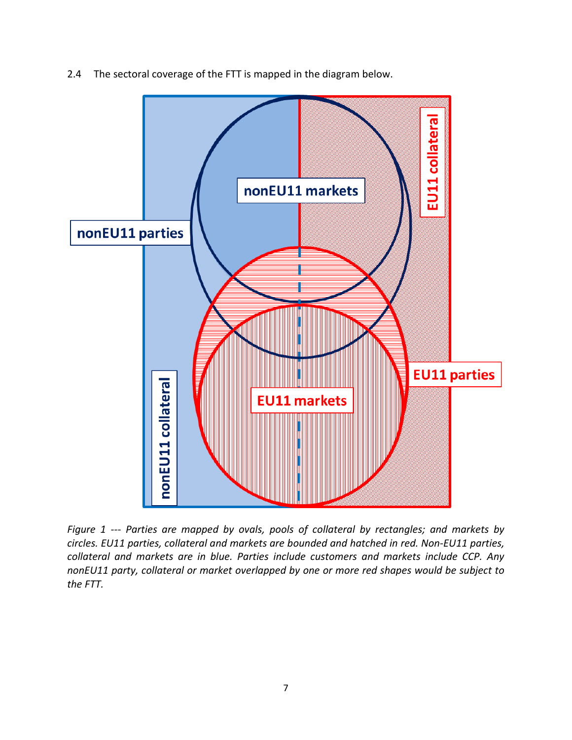

2.4 The sectoral coverage of the FTT is mapped in the diagram below.

*Figure 1 --- Parties are mapped by ovals, pools of collateral by rectangles; and markets by circles. EU11 parties, collateral and markets are bounded and hatched in red. Non-EU11 parties, collateral and markets are in blue. Parties include customers and markets include CCP. Any nonEU11 party, collateral or market overlapped by one or more red shapes would be subject to the FTT.*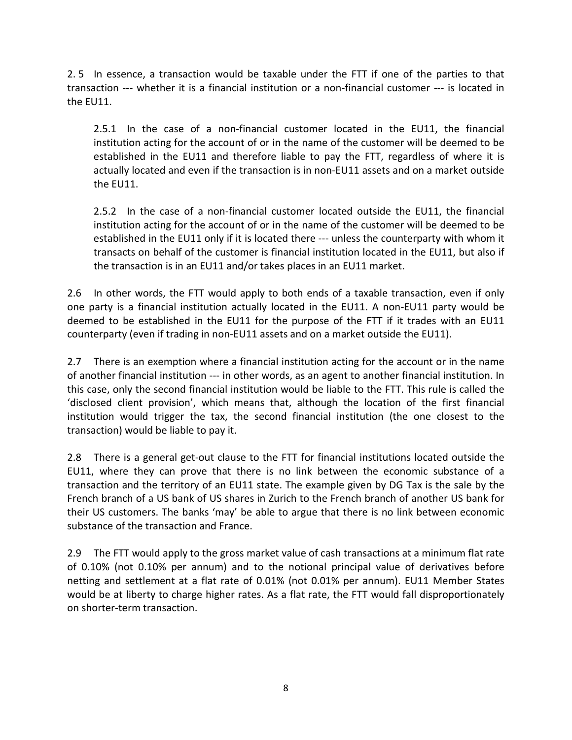2. 5 In essence, a transaction would be taxable under the FTT if one of the parties to that transaction --- whether it is a financial institution or a non-financial customer --- is located in the EU11.

2.5.1 In the case of a non-financial customer located in the EU11, the financial institution acting for the account of or in the name of the customer will be deemed to be established in the EU11 and therefore liable to pay the FTT, regardless of where it is actually located and even if the transaction is in non-EU11 assets and on a market outside the EU11.

2.5.2 In the case of a non-financial customer located outside the EU11, the financial institution acting for the account of or in the name of the customer will be deemed to be established in the EU11 only if it is located there --- unless the counterparty with whom it transacts on behalf of the customer is financial institution located in the EU11, but also if the transaction is in an EU11 and/or takes places in an EU11 market.

2.6 In other words, the FTT would apply to both ends of a taxable transaction, even if only one party is a financial institution actually located in the EU11. A non-EU11 party would be deemed to be established in the EU11 for the purpose of the FTT if it trades with an EU11 counterparty (even if trading in non-EU11 assets and on a market outside the EU11).

2.7 There is an exemption where a financial institution acting for the account or in the name of another financial institution --- in other words, as an agent to another financial institution. In this case, only the second financial institution would be liable to the FTT. This rule is called the 'disclosed client provision', which means that, although the location of the first financial institution would trigger the tax, the second financial institution (the one closest to the transaction) would be liable to pay it.

2.8 There is a general get-out clause to the FTT for financial institutions located outside the EU11, where they can prove that there is no link between the economic substance of a transaction and the territory of an EU11 state. The example given by DG Tax is the sale by the French branch of a US bank of US shares in Zurich to the French branch of another US bank for their US customers. The banks 'may' be able to argue that there is no link between economic substance of the transaction and France.

2.9 The FTT would apply to the gross market value of cash transactions at a minimum flat rate of 0.10% (not 0.10% per annum) and to the notional principal value of derivatives before netting and settlement at a flat rate of 0.01% (not 0.01% per annum). EU11 Member States would be at liberty to charge higher rates. As a flat rate, the FTT would fall disproportionately on shorter-term transaction.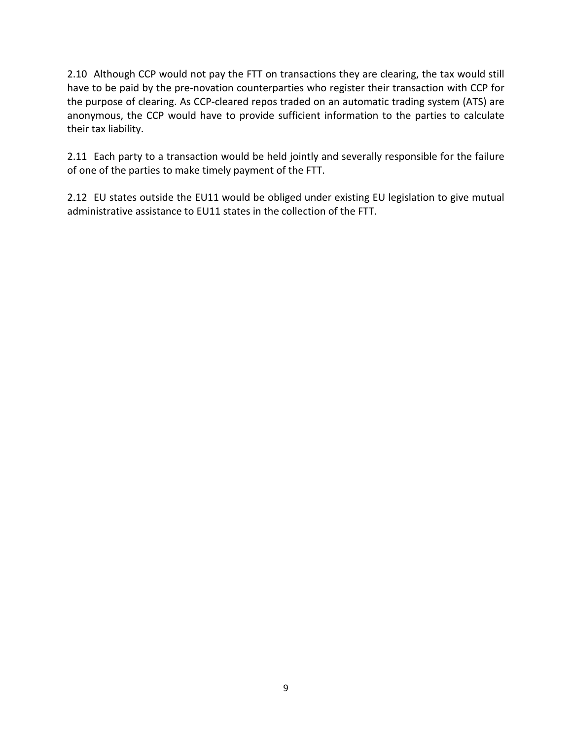2.10 Although CCP would not pay the FTT on transactions they are clearing, the tax would still have to be paid by the pre-novation counterparties who register their transaction with CCP for the purpose of clearing. As CCP-cleared repos traded on an automatic trading system (ATS) are anonymous, the CCP would have to provide sufficient information to the parties to calculate their tax liability.

2.11 Each party to a transaction would be held jointly and severally responsible for the failure of one of the parties to make timely payment of the FTT.

2.12 EU states outside the EU11 would be obliged under existing EU legislation to give mutual administrative assistance to EU11 states in the collection of the FTT.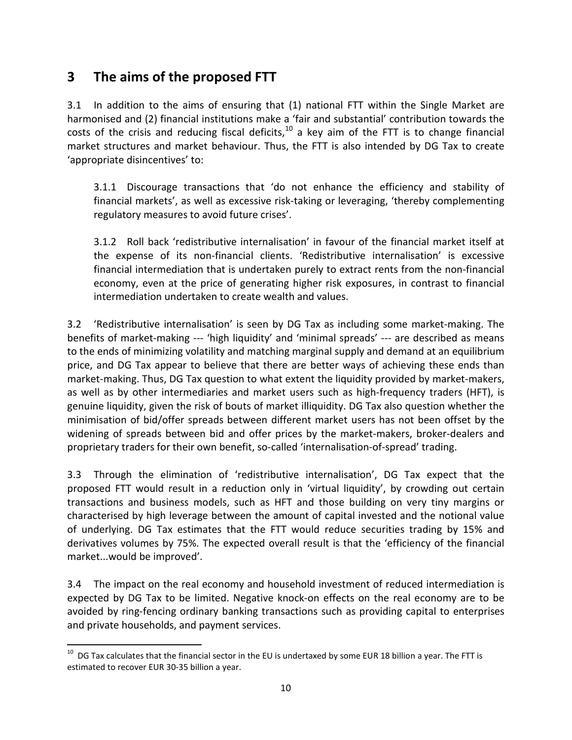# **3 The aims of the proposed FTT**

3.1 In addition to the aims of ensuring that (1) national FTT within the Single Market are harmonised and (2) financial institutions make a 'fair and substantial' contribution towards the costs of the crisis and reducing fiscal deficits, $10$  a key aim of the FTT is to change financial market structures and market behaviour. Thus, the FTT is also intended by DG Tax to create 'appropriate disincentives' to:

3.1.1 Discourage transactions that 'do not enhance the efficiency and stability of financial markets', as well as excessive risk-taking or leveraging, 'thereby complementing regulatory measures to avoid future crises'.

3.1.2 Roll back 'redistributive internalisation' in favour of the financial market itself at the expense of its non-financial clients. 'Redistributive internalisation' is excessive financial intermediation that is undertaken purely to extract rents from the non-financial economy, even at the price of generating higher risk exposures, in contrast to financial intermediation undertaken to create wealth and values.

3.2 'Redistributive internalisation' is seen by DG Tax as including some market-making. The benefits of market-making --- 'high liquidity' and 'minimal spreads' --- are described as means to the ends of minimizing volatility and matching marginal supply and demand at an equilibrium price, and DG Tax appear to believe that there are better ways of achieving these ends than market-making. Thus, DG Tax question to what extent the liquidity provided by market-makers, as well as by other intermediaries and market users such as high-frequency traders (HFT), is genuine liquidity, given the risk of bouts of market illiquidity. DG Tax also question whether the minimisation of bid/offer spreads between different market users has not been offset by the widening of spreads between bid and offer prices by the market-makers, broker-dealers and proprietary traders for their own benefit, so-called 'internalisation-of-spread' trading.

3.3 Through the elimination of 'redistributive internalisation', DG Tax expect that the proposed FTT would result in a reduction only in 'virtual liquidity', by crowding out certain transactions and business models, such as HFT and those building on very tiny margins or characterised by high leverage between the amount of capital invested and the notional value of underlying. DG Tax estimates that the FTT would reduce securities trading by 15% and derivatives volumes by 75%. The expected overall result is that the 'efficiency of the financial market...would be improved'.

3.4 The impact on the real economy and household investment of reduced intermediation is expected by DG Tax to be limited. Negative knock-on effects on the real economy are to be avoided by ring-fencing ordinary banking transactions such as providing capital to enterprises and private households, and payment services.

<span id="page-9-0"></span> $10$  DG Tax calculates that the financial sector in the EU is undertaxed by some EUR 18 billion a year. The FTT is estimated to recover EUR 30-35 billion a year.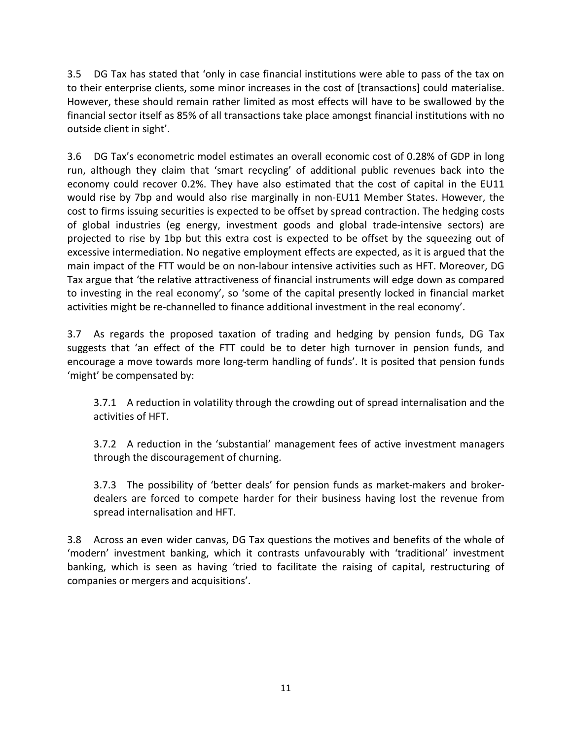3.5 DG Tax has stated that 'only in case financial institutions were able to pass of the tax on to their enterprise clients, some minor increases in the cost of [transactions] could materialise. However, these should remain rather limited as most effects will have to be swallowed by the financial sector itself as 85% of all transactions take place amongst financial institutions with no outside client in sight'.

3.6 DG Tax's econometric model estimates an overall economic cost of 0.28% of GDP in long run, although they claim that 'smart recycling' of additional public revenues back into the economy could recover 0.2%. They have also estimated that the cost of capital in the EU11 would rise by 7bp and would also rise marginally in non-EU11 Member States. However, the cost to firms issuing securities is expected to be offset by spread contraction. The hedging costs of global industries (eg energy, investment goods and global trade-intensive sectors) are projected to rise by 1bp but this extra cost is expected to be offset by the squeezing out of excessive intermediation. No negative employment effects are expected, as it is argued that the main impact of the FTT would be on non-labour intensive activities such as HFT. Moreover, DG Tax argue that 'the relative attractiveness of financial instruments will edge down as compared to investing in the real economy', so 'some of the capital presently locked in financial market activities might be re-channelled to finance additional investment in the real economy'.

3.7 As regards the proposed taxation of trading and hedging by pension funds, DG Tax suggests that 'an effect of the FTT could be to deter high turnover in pension funds, and encourage a move towards more long-term handling of funds'. It is posited that pension funds 'might' be compensated by:

3.7.1 A reduction in volatility through the crowding out of spread internalisation and the activities of HFT.

3.7.2 A reduction in the 'substantial' management fees of active investment managers through the discouragement of churning.

3.7.3 The possibility of 'better deals' for pension funds as market-makers and brokerdealers are forced to compete harder for their business having lost the revenue from spread internalisation and HFT.

3.8 Across an even wider canvas, DG Tax questions the motives and benefits of the whole of 'modern' investment banking, which it contrasts unfavourably with 'traditional' investment banking, which is seen as having 'tried to facilitate the raising of capital, restructuring of companies or mergers and acquisitions'.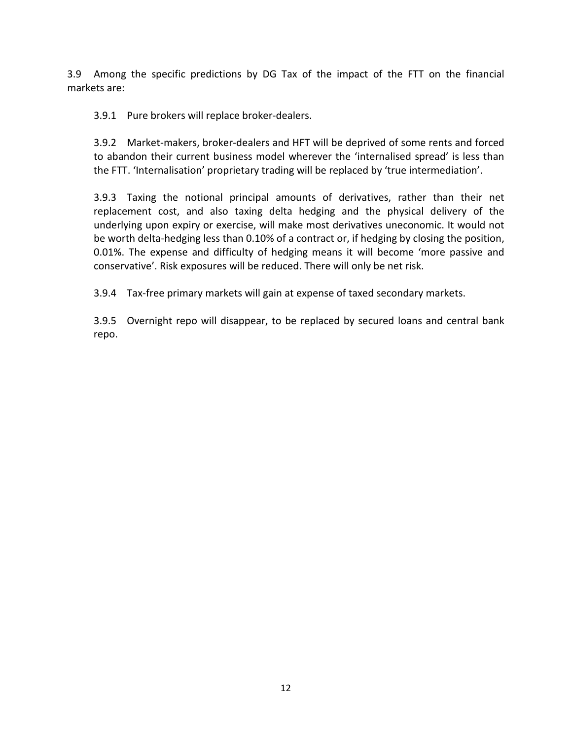3.9 Among the specific predictions by DG Tax of the impact of the FTT on the financial markets are:

3.9.1 Pure brokers will replace broker-dealers.

3.9.2 Market-makers, broker-dealers and HFT will be deprived of some rents and forced to abandon their current business model wherever the 'internalised spread' is less than the FTT. 'Internalisation' proprietary trading will be replaced by 'true intermediation'.

3.9.3 Taxing the notional principal amounts of derivatives, rather than their net replacement cost, and also taxing delta hedging and the physical delivery of the underlying upon expiry or exercise, will make most derivatives uneconomic. It would not be worth delta-hedging less than 0.10% of a contract or, if hedging by closing the position, 0.01%. The expense and difficulty of hedging means it will become 'more passive and conservative'. Risk exposures will be reduced. There will only be net risk.

3.9.4 Tax-free primary markets will gain at expense of taxed secondary markets.

3.9.5 Overnight repo will disappear, to be replaced by secured loans and central bank repo.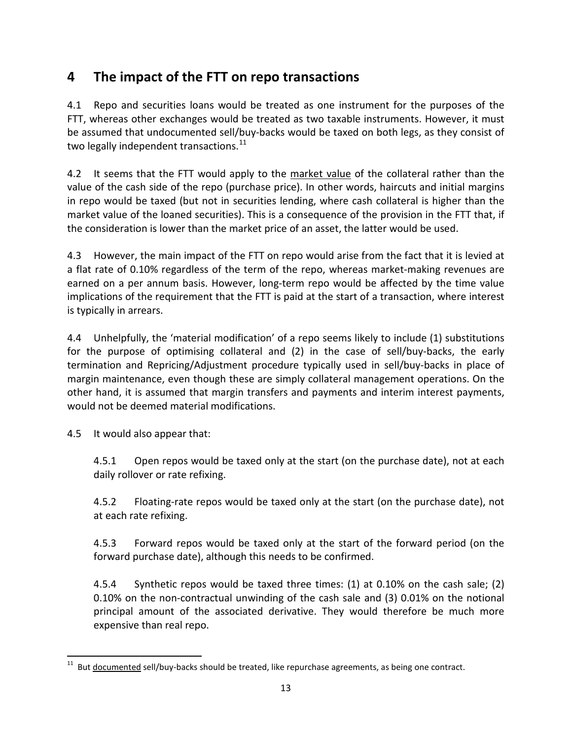# **4 The impact of the FTT on repo transactions**

4.1 Repo and securities loans would be treated as one instrument for the purposes of the FTT, whereas other exchanges would be treated as two taxable instruments. However, it must be assumed that undocumented sell/buy-backs would be taxed on both legs, as they consist of two legally independent transactions.<sup>[11](#page-12-0)</sup>

4.2 It seems that the FTT would apply to the market value of the collateral rather than the value of the cash side of the repo (purchase price). In other words, haircuts and initial margins in repo would be taxed (but not in securities lending, where cash collateral is higher than the market value of the loaned securities). This is a consequence of the provision in the FTT that, if the consideration is lower than the market price of an asset, the latter would be used.

4.3 However, the main impact of the FTT on repo would arise from the fact that it is levied at a flat rate of 0.10% regardless of the term of the repo, whereas market-making revenues are earned on a per annum basis. However, long-term repo would be affected by the time value implications of the requirement that the FTT is paid at the start of a transaction, where interest is typically in arrears.

4.4 Unhelpfully, the 'material modification' of a repo seems likely to include (1) substitutions for the purpose of optimising collateral and (2) in the case of sell/buy-backs, the early termination and Repricing/Adjustment procedure typically used in sell/buy-backs in place of margin maintenance, even though these are simply collateral management operations. On the other hand, it is assumed that margin transfers and payments and interim interest payments, would not be deemed material modifications.

4.5 It would also appear that:

4.5.1 Open repos would be taxed only at the start (on the purchase date), not at each daily rollover or rate refixing.

4.5.2 Floating-rate repos would be taxed only at the start (on the purchase date), not at each rate refixing.

4.5.3 Forward repos would be taxed only at the start of the forward period (on the forward purchase date), although this needs to be confirmed.

4.5.4 Synthetic repos would be taxed three times: (1) at 0.10% on the cash sale; (2) 0.10% on the non-contractual unwinding of the cash sale and (3) 0.01% on the notional principal amount of the associated derivative. They would therefore be much more expensive than real repo.

<span id="page-12-0"></span> $11$  But documented sell/buy-backs should be treated, like repurchase agreements, as being one contract.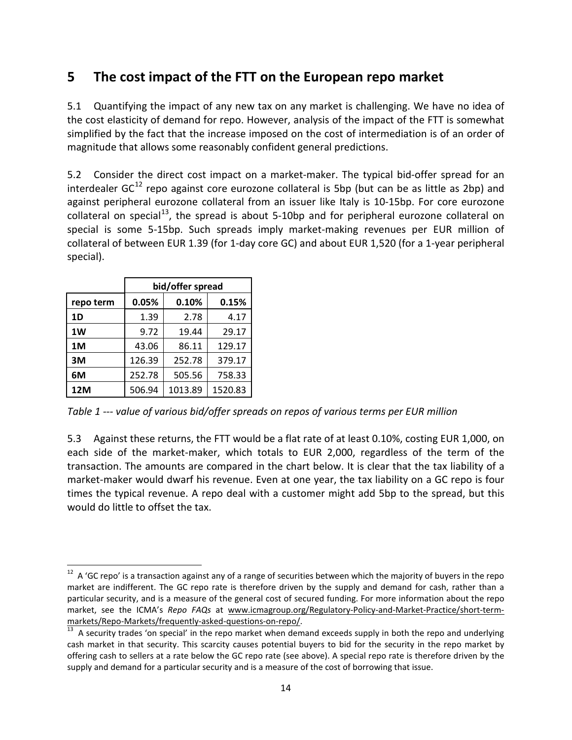# **5 The cost impact of the FTT on the European repo market**

5.1 Quantifying the impact of any new tax on any market is challenging. We have no idea of the cost elasticity of demand for repo. However, analysis of the impact of the FTT is somewhat simplified by the fact that the increase imposed on the cost of intermediation is of an order of magnitude that allows some reasonably confident general predictions.

5.2 Consider the direct cost impact on a market-maker. The typical bid-offer spread for an interdealer  $GC^{12}$  $GC^{12}$  $GC^{12}$  repo against core eurozone collateral is 5bp (but can be as little as 2bp) and against peripheral eurozone collateral from an issuer like Italy is 10-15bp. For core eurozone collateral on special<sup>13</sup>, the spread is about 5-10bp and for peripheral eurozone collateral on special is some 5-15bp. Such spreads imply market-making revenues per EUR million of collateral of between EUR 1.39 (for 1-day core GC) and about EUR 1,520 (for a 1-year peripheral special).

|           | bid/offer spread |         |         |
|-----------|------------------|---------|---------|
| repo term | 0.05%            | 0.10%   | 0.15%   |
| 1D        | 1.39             | 2.78    | 4.17    |
| 1W        | 9.72             | 19.44   | 29.17   |
| 1M        | 43.06            | 86.11   | 129.17  |
| 3M        | 126.39           | 252.78  | 379.17  |
| 6M        | 252.78           | 505.56  | 758.33  |
| 12M       | 506.94           | 1013.89 | 1520.83 |

*Table 1 --- value of various bid/offer spreads on repos of various terms per EUR million*

5.3 Against these returns, the FTT would be a flat rate of at least 0.10%, costing EUR 1,000, on each side of the market-maker, which totals to EUR 2,000, regardless of the term of the transaction. The amounts are compared in the chart below. It is clear that the tax liability of a market-maker would dwarf his revenue. Even at one year, the tax liability on a GC repo is four times the typical revenue. A repo deal with a customer might add 5bp to the spread, but this would do little to offset the tax.

<span id="page-13-0"></span> $12$  A 'GC repo' is a transaction against any of a range of securities between which the majority of buyers in the repo market are indifferent. The GC repo rate is therefore driven by the supply and demand for cash, rather than a particular security, and is a measure of the general cost of secured funding. For more information about the repo market, see the ICMA's *Repo FAQs* at www.icmagroup.org/Regulatory-Policy-and-Market-Practice/short-term- $\frac{\text{markets/Reports/frequency}}{13}$  A security trades 'on special' in the repo market when demand exceeds supply in both the repo and underlying

<span id="page-13-1"></span>cash market in that security. This scarcity causes potential buyers to bid for the security in the repo market by offering cash to sellers at a rate below the GC repo rate (see above). A special repo rate is therefore driven by the supply and demand for a particular security and is a measure of the cost of borrowing that issue.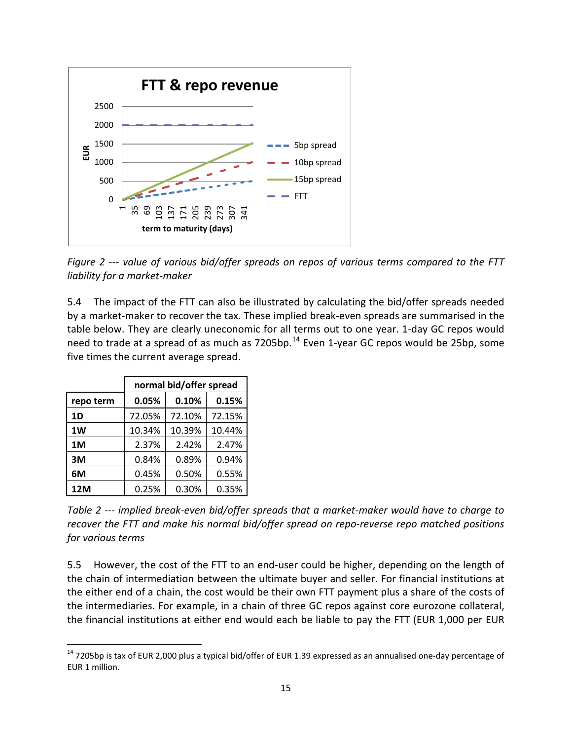

*Figure 2 --- value of various bid/offer spreads on repos of various terms compared to the FTT liability for a market-maker*

5.4 The impact of the FTT can also be illustrated by calculating the bid/offer spreads needed by a market-maker to recover the tax. These implied break-even spreads are summarised in the table below. They are clearly uneconomic for all terms out to one year. 1-day GC repos would need to trade at a spread of as much as 7205bp.<sup>[14](#page-14-0)</sup> Even 1-year GC repos would be 25bp, some five times the current average spread.

|           | normal bid/offer spread |        |        |
|-----------|-------------------------|--------|--------|
| repo term | 0.05%                   | 0.10%  | 0.15%  |
| 1D        | 72.05%                  | 72.10% | 72.15% |
| 1W        | 10.34%                  | 10.39% | 10.44% |
| 1M        | 2.37%                   | 2.42%  | 2.47%  |
| 3M        | 0.84%                   | 0.89%  | 0.94%  |
| 6М        | 0.45%                   | 0.50%  | 0.55%  |
| 12M       | 0.25%                   | 0.30%  | 0.35%  |

*Table 2 --- implied break-even bid/offer spreads that a market-maker would have to charge to recover the FTT and make his normal bid/offer spread on repo-reverse repo matched positions for various terms*

5.5 However, the cost of the FTT to an end-user could be higher, depending on the length of the chain of intermediation between the ultimate buyer and seller. For financial institutions at the either end of a chain, the cost would be their own FTT payment plus a share of the costs of the intermediaries. For example, in a chain of three GC repos against core eurozone collateral, the financial institutions at either end would each be liable to pay the FTT (EUR 1,000 per EUR

<span id="page-14-0"></span><sup>&</sup>lt;sup>14</sup> 7205bp is tax of EUR 2,000 plus a typical bid/offer of EUR 1.39 expressed as an annualised one-day percentage of EUR 1 million.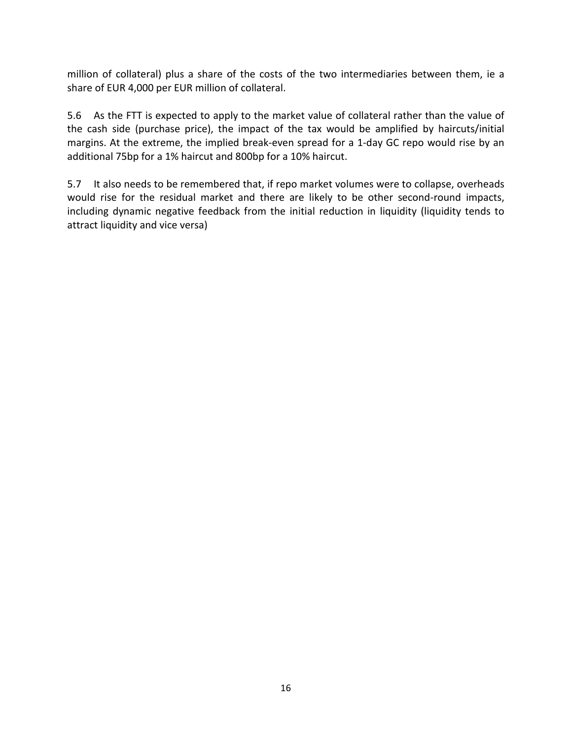million of collateral) plus a share of the costs of the two intermediaries between them, ie a share of EUR 4,000 per EUR million of collateral.

5.6 As the FTT is expected to apply to the market value of collateral rather than the value of the cash side (purchase price), the impact of the tax would be amplified by haircuts/initial margins. At the extreme, the implied break-even spread for a 1-day GC repo would rise by an additional 75bp for a 1% haircut and 800bp for a 10% haircut.

5.7 It also needs to be remembered that, if repo market volumes were to collapse, overheads would rise for the residual market and there are likely to be other second-round impacts, including dynamic negative feedback from the initial reduction in liquidity (liquidity tends to attract liquidity and vice versa)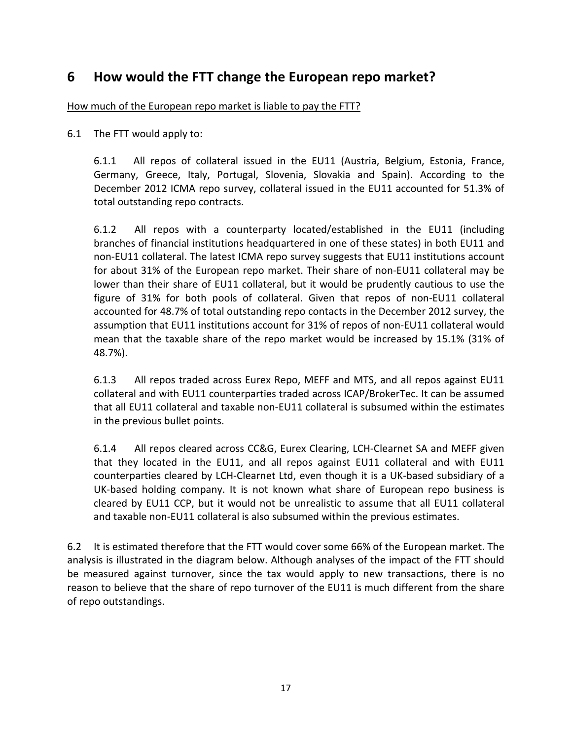# **6 How would the FTT change the European repo market?**

How much of the European repo market is liable to pay the FTT?

6.1 The FTT would apply to:

6.1.1 All repos of collateral issued in the EU11 (Austria, Belgium, Estonia, France, Germany, Greece, Italy, Portugal, Slovenia, Slovakia and Spain). According to the December 2012 ICMA repo survey, collateral issued in the EU11 accounted for 51.3% of total outstanding repo contracts.

6.1.2 All repos with a counterparty located/established in the EU11 (including branches of financial institutions headquartered in one of these states) in both EU11 and non-EU11 collateral. The latest ICMA repo survey suggests that EU11 institutions account for about 31% of the European repo market. Their share of non-EU11 collateral may be lower than their share of EU11 collateral, but it would be prudently cautious to use the figure of 31% for both pools of collateral. Given that repos of non-EU11 collateral accounted for 48.7% of total outstanding repo contacts in the December 2012 survey, the assumption that EU11 institutions account for 31% of repos of non-EU11 collateral would mean that the taxable share of the repo market would be increased by 15.1% (31% of 48.7%).

6.1.3 All repos traded across Eurex Repo, MEFF and MTS, and all repos against EU11 collateral and with EU11 counterparties traded across ICAP/BrokerTec. It can be assumed that all EU11 collateral and taxable non-EU11 collateral is subsumed within the estimates in the previous bullet points.

6.1.4 All repos cleared across CC&G, Eurex Clearing, LCH-Clearnet SA and MEFF given that they located in the EU11, and all repos against EU11 collateral and with EU11 counterparties cleared by LCH-Clearnet Ltd, even though it is a UK-based subsidiary of a UK-based holding company. It is not known what share of European repo business is cleared by EU11 CCP, but it would not be unrealistic to assume that all EU11 collateral and taxable non-EU11 collateral is also subsumed within the previous estimates.

6.2 It is estimated therefore that the FTT would cover some 66% of the European market. The analysis is illustrated in the diagram below. Although analyses of the impact of the FTT should be measured against turnover, since the tax would apply to new transactions, there is no reason to believe that the share of repo turnover of the EU11 is much different from the share of repo outstandings.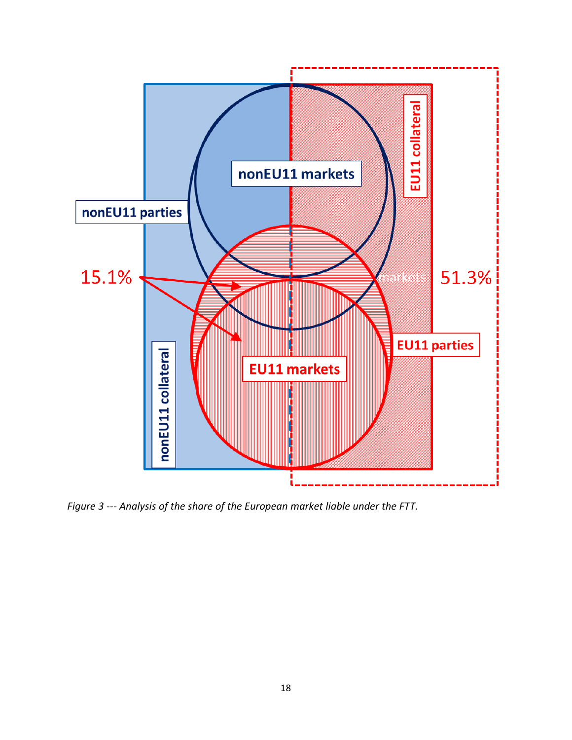

*Figure 3 --- Analysis of the share of the European market liable under the FTT.*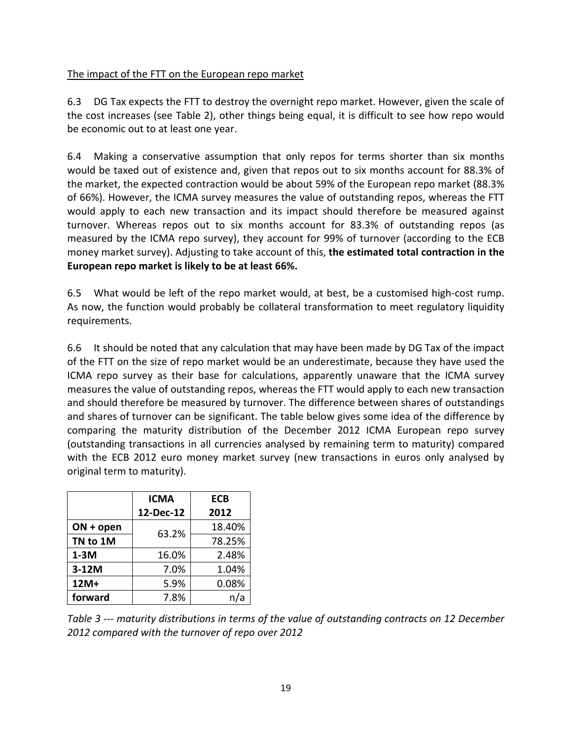### The impact of the FTT on the European repo market

6.3 DG Tax expects the FTT to destroy the overnight repo market. However, given the scale of the cost increases (see Table 2), other things being equal, it is difficult to see how repo would be economic out to at least one year.

6.4 Making a conservative assumption that only repos for terms shorter than six months would be taxed out of existence and, given that repos out to six months account for 88.3% of the market, the expected contraction would be about 59% of the European repo market (88.3% of 66%). However, the ICMA survey measures the value of outstanding repos, whereas the FTT would apply to each new transaction and its impact should therefore be measured against turnover. Whereas repos out to six months account for 83.3% of outstanding repos (as measured by the ICMA repo survey), they account for 99% of turnover (according to the ECB money market survey). Adjusting to take account of this, **the estimated total contraction in the European repo market is likely to be at least 66%.**

6.5 What would be left of the repo market would, at best, be a customised high-cost rump. As now, the function would probably be collateral transformation to meet regulatory liquidity requirements.

6.6 It should be noted that any calculation that may have been made by DG Tax of the impact of the FTT on the size of repo market would be an underestimate, because they have used the ICMA repo survey as their base for calculations, apparently unaware that the ICMA survey measures the value of outstanding repos, whereas the FTT would apply to each new transaction and should therefore be measured by turnover. The difference between shares of outstandings and shares of turnover can be significant. The table below gives some idea of the difference by comparing the maturity distribution of the December 2012 ICMA European repo survey (outstanding transactions in all currencies analysed by remaining term to maturity) compared with the ECB 2012 euro money market survey (new transactions in euros only analysed by original term to maturity).

|             | <b>ICMA</b> | <b>ECB</b> |
|-------------|-------------|------------|
|             | 12-Dec-12   | 2012       |
| $ON + open$ | 63.2%       | 18.40%     |
| TN to 1M    |             | 78.25%     |
| $1-3M$      | 16.0%       | 2.48%      |
| $3-12M$     | 7.0%        | 1.04%      |
| 12M+        | 5.9%        | 0.08%      |
| forward     | 7.8%        |            |

*Table 3 --- maturity distributions in terms of the value of outstanding contracts on 12 December 2012 compared with the turnover of repo over 2012*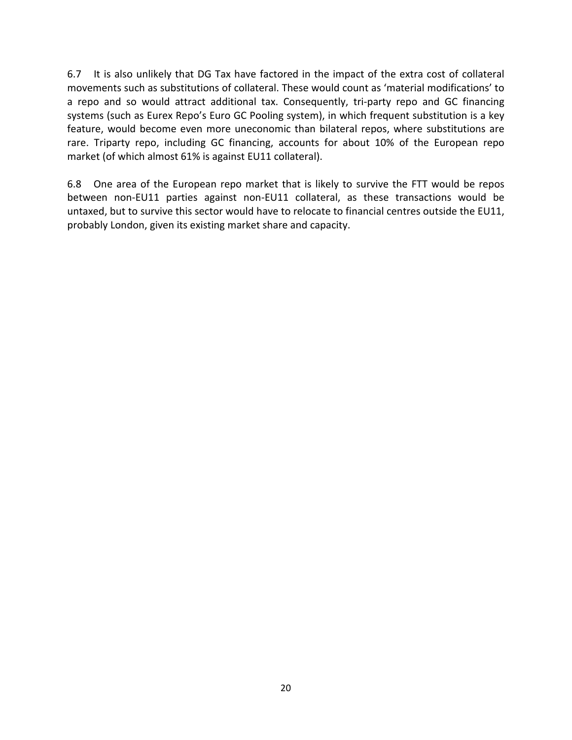6.7 It is also unlikely that DG Tax have factored in the impact of the extra cost of collateral movements such as substitutions of collateral. These would count as 'material modifications' to a repo and so would attract additional tax. Consequently, tri-party repo and GC financing systems (such as Eurex Repo's Euro GC Pooling system), in which frequent substitution is a key feature, would become even more uneconomic than bilateral repos, where substitutions are rare. Triparty repo, including GC financing, accounts for about 10% of the European repo market (of which almost 61% is against EU11 collateral).

6.8 One area of the European repo market that is likely to survive the FTT would be repos between non-EU11 parties against non-EU11 collateral, as these transactions would be untaxed, but to survive this sector would have to relocate to financial centres outside the EU11, probably London, given its existing market share and capacity.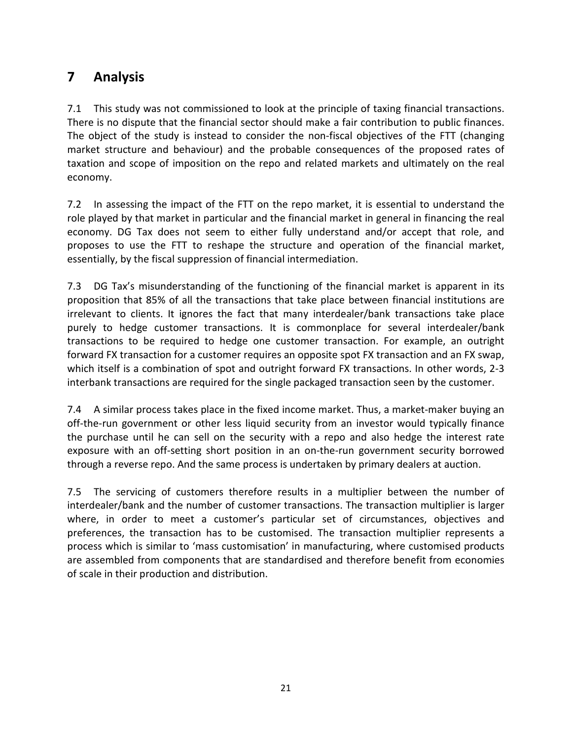# **7 Analysis**

7.1 This study was not commissioned to look at the principle of taxing financial transactions. There is no dispute that the financial sector should make a fair contribution to public finances. The object of the study is instead to consider the non-fiscal objectives of the FTT (changing market structure and behaviour) and the probable consequences of the proposed rates of taxation and scope of imposition on the repo and related markets and ultimately on the real economy.

7.2 In assessing the impact of the FTT on the repo market, it is essential to understand the role played by that market in particular and the financial market in general in financing the real economy. DG Tax does not seem to either fully understand and/or accept that role, and proposes to use the FTT to reshape the structure and operation of the financial market, essentially, by the fiscal suppression of financial intermediation.

7.3 DG Tax's misunderstanding of the functioning of the financial market is apparent in its proposition that 85% of all the transactions that take place between financial institutions are irrelevant to clients. It ignores the fact that many interdealer/bank transactions take place purely to hedge customer transactions. It is commonplace for several interdealer/bank transactions to be required to hedge one customer transaction. For example, an outright forward FX transaction for a customer requires an opposite spot FX transaction and an FX swap, which itself is a combination of spot and outright forward FX transactions. In other words, 2-3 interbank transactions are required for the single packaged transaction seen by the customer.

7.4 A similar process takes place in the fixed income market. Thus, a market-maker buying an off-the-run government or other less liquid security from an investor would typically finance the purchase until he can sell on the security with a repo and also hedge the interest rate exposure with an off-setting short position in an on-the-run government security borrowed through a reverse repo. And the same process is undertaken by primary dealers at auction.

7.5 The servicing of customers therefore results in a multiplier between the number of interdealer/bank and the number of customer transactions. The transaction multiplier is larger where, in order to meet a customer's particular set of circumstances, objectives and preferences, the transaction has to be customised. The transaction multiplier represents a process which is similar to 'mass customisation' in manufacturing, where customised products are assembled from components that are standardised and therefore benefit from economies of scale in their production and distribution.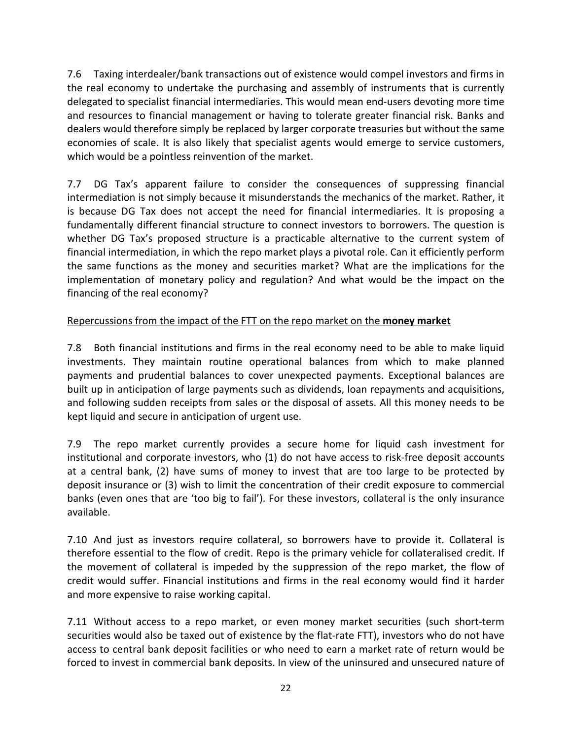7.6 Taxing interdealer/bank transactions out of existence would compel investors and firms in the real economy to undertake the purchasing and assembly of instruments that is currently delegated to specialist financial intermediaries. This would mean end-users devoting more time and resources to financial management or having to tolerate greater financial risk. Banks and dealers would therefore simply be replaced by larger corporate treasuries but without the same economies of scale. It is also likely that specialist agents would emerge to service customers, which would be a pointless reinvention of the market.

7.7 DG Tax's apparent failure to consider the consequences of suppressing financial intermediation is not simply because it misunderstands the mechanics of the market. Rather, it is because DG Tax does not accept the need for financial intermediaries. It is proposing a fundamentally different financial structure to connect investors to borrowers. The question is whether DG Tax's proposed structure is a practicable alternative to the current system of financial intermediation, in which the repo market plays a pivotal role. Can it efficiently perform the same functions as the money and securities market? What are the implications for the implementation of monetary policy and regulation? And what would be the impact on the financing of the real economy?

### Repercussions from the impact of the FTT on the repo market on the **money market**

7.8 Both financial institutions and firms in the real economy need to be able to make liquid investments. They maintain routine operational balances from which to make planned payments and prudential balances to cover unexpected payments. Exceptional balances are built up in anticipation of large payments such as dividends, loan repayments and acquisitions, and following sudden receipts from sales or the disposal of assets. All this money needs to be kept liquid and secure in anticipation of urgent use.

7.9 The repo market currently provides a secure home for liquid cash investment for institutional and corporate investors, who (1) do not have access to risk-free deposit accounts at a central bank, (2) have sums of money to invest that are too large to be protected by deposit insurance or (3) wish to limit the concentration of their credit exposure to commercial banks (even ones that are 'too big to fail'). For these investors, collateral is the only insurance available.

7.10 And just as investors require collateral, so borrowers have to provide it. Collateral is therefore essential to the flow of credit. Repo is the primary vehicle for collateralised credit. If the movement of collateral is impeded by the suppression of the repo market, the flow of credit would suffer. Financial institutions and firms in the real economy would find it harder and more expensive to raise working capital.

7.11 Without access to a repo market, or even money market securities (such short-term securities would also be taxed out of existence by the flat-rate FTT), investors who do not have access to central bank deposit facilities or who need to earn a market rate of return would be forced to invest in commercial bank deposits. In view of the uninsured and unsecured nature of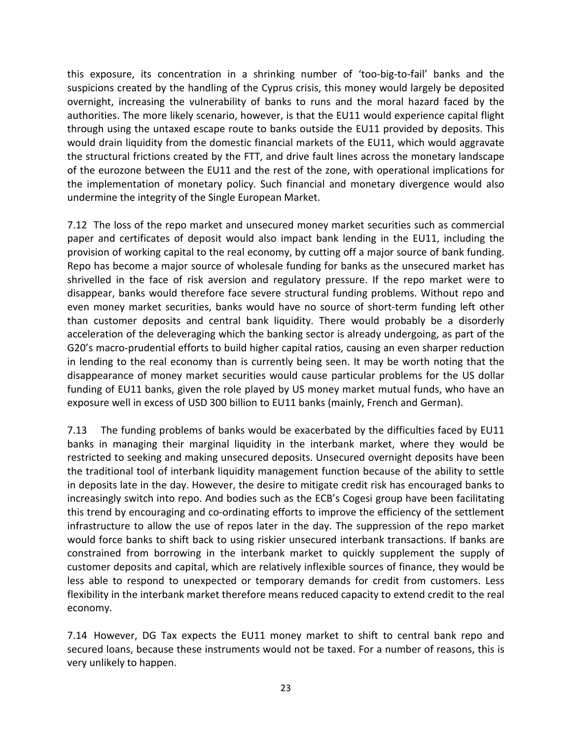this exposure, its concentration in a shrinking number of 'too-big-to-fail' banks and the suspicions created by the handling of the Cyprus crisis, this money would largely be deposited overnight, increasing the vulnerability of banks to runs and the moral hazard faced by the authorities. The more likely scenario, however, is that the EU11 would experience capital flight through using the untaxed escape route to banks outside the EU11 provided by deposits. This would drain liquidity from the domestic financial markets of the EU11, which would aggravate the structural frictions created by the FTT, and drive fault lines across the monetary landscape of the eurozone between the EU11 and the rest of the zone, with operational implications for the implementation of monetary policy. Such financial and monetary divergence would also undermine the integrity of the Single European Market.

7.12 The loss of the repo market and unsecured money market securities such as commercial paper and certificates of deposit would also impact bank lending in the EU11, including the provision of working capital to the real economy, by cutting off a major source of bank funding. Repo has become a major source of wholesale funding for banks as the unsecured market has shrivelled in the face of risk aversion and regulatory pressure. If the repo market were to disappear, banks would therefore face severe structural funding problems. Without repo and even money market securities, banks would have no source of short-term funding left other than customer deposits and central bank liquidity. There would probably be a disorderly acceleration of the deleveraging which the banking sector is already undergoing, as part of the G20's macro-prudential efforts to build higher capital ratios, causing an even sharper reduction in lending to the real economy than is currently being seen. It may be worth noting that the disappearance of money market securities would cause particular problems for the US dollar funding of EU11 banks, given the role played by US money market mutual funds, who have an exposure well in excess of USD 300 billion to EU11 banks (mainly, French and German).

7.13 The funding problems of banks would be exacerbated by the difficulties faced by EU11 banks in managing their marginal liquidity in the interbank market, where they would be restricted to seeking and making unsecured deposits. Unsecured overnight deposits have been the traditional tool of interbank liquidity management function because of the ability to settle in deposits late in the day. However, the desire to mitigate credit risk has encouraged banks to increasingly switch into repo. And bodies such as the ECB's Cogesi group have been facilitating this trend by encouraging and co-ordinating efforts to improve the efficiency of the settlement infrastructure to allow the use of repos later in the day. The suppression of the repo market would force banks to shift back to using riskier unsecured interbank transactions. If banks are constrained from borrowing in the interbank market to quickly supplement the supply of customer deposits and capital, which are relatively inflexible sources of finance, they would be less able to respond to unexpected or temporary demands for credit from customers. Less flexibility in the interbank market therefore means reduced capacity to extend credit to the real economy.

7.14 However, DG Tax expects the EU11 money market to shift to central bank repo and secured loans, because these instruments would not be taxed. For a number of reasons, this is very unlikely to happen.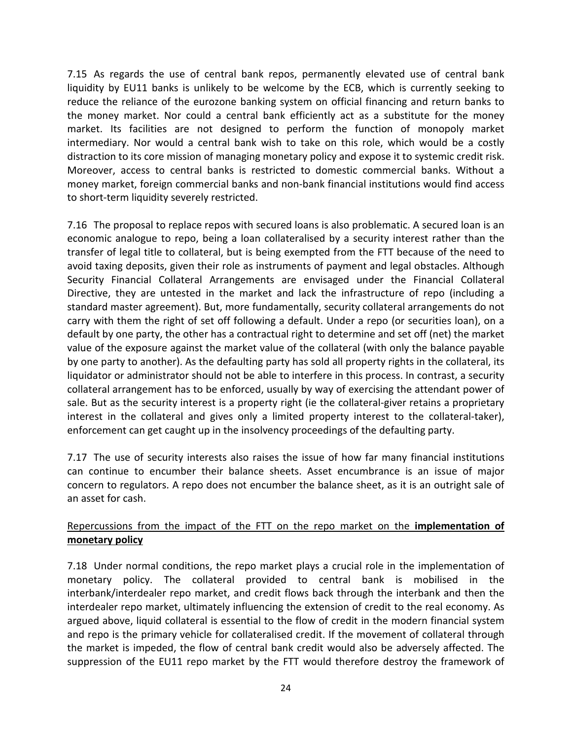7.15 As regards the use of central bank repos, permanently elevated use of central bank liquidity by EU11 banks is unlikely to be welcome by the ECB, which is currently seeking to reduce the reliance of the eurozone banking system on official financing and return banks to the money market. Nor could a central bank efficiently act as a substitute for the money market. Its facilities are not designed to perform the function of monopoly market intermediary. Nor would a central bank wish to take on this role, which would be a costly distraction to its core mission of managing monetary policy and expose it to systemic credit risk. Moreover, access to central banks is restricted to domestic commercial banks. Without a money market, foreign commercial banks and non-bank financial institutions would find access to short-term liquidity severely restricted.

7.16 The proposal to replace repos with secured loans is also problematic. A secured loan is an economic analogue to repo, being a loan collateralised by a security interest rather than the transfer of legal title to collateral, but is being exempted from the FTT because of the need to avoid taxing deposits, given their role as instruments of payment and legal obstacles. Although Security Financial Collateral Arrangements are envisaged under the Financial Collateral Directive, they are untested in the market and lack the infrastructure of repo (including a standard master agreement). But, more fundamentally, security collateral arrangements do not carry with them the right of set off following a default. Under a repo (or securities loan), on a default by one party, the other has a contractual right to determine and set off (net) the market value of the exposure against the market value of the collateral (with only the balance payable by one party to another). As the defaulting party has sold all property rights in the collateral, its liquidator or administrator should not be able to interfere in this process. In contrast, a security collateral arrangement has to be enforced, usually by way of exercising the attendant power of sale. But as the security interest is a property right (ie the collateral-giver retains a proprietary interest in the collateral and gives only a limited property interest to the collateral-taker), enforcement can get caught up in the insolvency proceedings of the defaulting party.

7.17 The use of security interests also raises the issue of how far many financial institutions can continue to encumber their balance sheets. Asset encumbrance is an issue of major concern to regulators. A repo does not encumber the balance sheet, as it is an outright sale of an asset for cash.

#### Repercussions from the impact of the FTT on the repo market on the **implementation of monetary policy**

7.18 Under normal conditions, the repo market plays a crucial role in the implementation of monetary policy. The collateral provided to central bank is mobilised in the interbank/interdealer repo market, and credit flows back through the interbank and then the interdealer repo market, ultimately influencing the extension of credit to the real economy. As argued above, liquid collateral is essential to the flow of credit in the modern financial system and repo is the primary vehicle for collateralised credit. If the movement of collateral through the market is impeded, the flow of central bank credit would also be adversely affected. The suppression of the EU11 repo market by the FTT would therefore destroy the framework of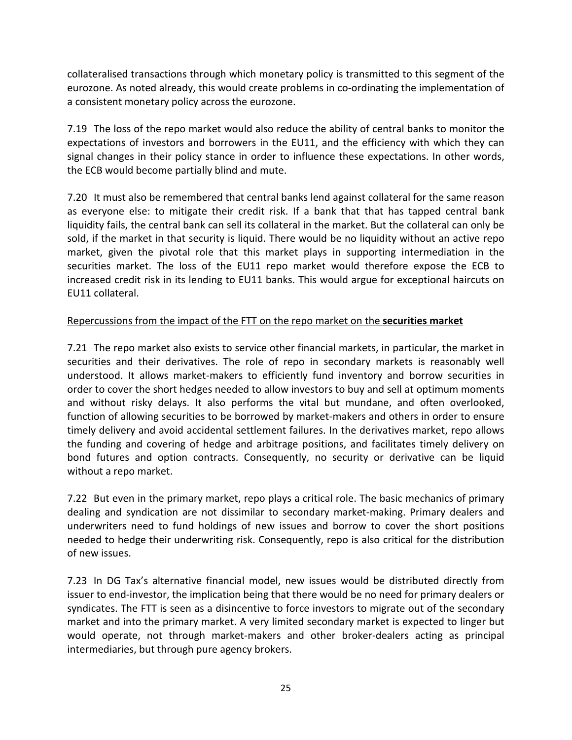collateralised transactions through which monetary policy is transmitted to this segment of the eurozone. As noted already, this would create problems in co-ordinating the implementation of a consistent monetary policy across the eurozone.

7.19 The loss of the repo market would also reduce the ability of central banks to monitor the expectations of investors and borrowers in the EU11, and the efficiency with which they can signal changes in their policy stance in order to influence these expectations. In other words, the ECB would become partially blind and mute.

7.20 It must also be remembered that central banks lend against collateral for the same reason as everyone else: to mitigate their credit risk. If a bank that that has tapped central bank liquidity fails, the central bank can sell its collateral in the market. But the collateral can only be sold, if the market in that security is liquid. There would be no liquidity without an active repo market, given the pivotal role that this market plays in supporting intermediation in the securities market. The loss of the EU11 repo market would therefore expose the ECB to increased credit risk in its lending to EU11 banks. This would argue for exceptional haircuts on EU11 collateral.

### Repercussions from the impact of the FTT on the repo market on the **securities market**

7.21 The repo market also exists to service other financial markets, in particular, the market in securities and their derivatives. The role of repo in secondary markets is reasonably well understood. It allows market-makers to efficiently fund inventory and borrow securities in order to cover the short hedges needed to allow investors to buy and sell at optimum moments and without risky delays. It also performs the vital but mundane, and often overlooked, function of allowing securities to be borrowed by market-makers and others in order to ensure timely delivery and avoid accidental settlement failures. In the derivatives market, repo allows the funding and covering of hedge and arbitrage positions, and facilitates timely delivery on bond futures and option contracts. Consequently, no security or derivative can be liquid without a repo market.

7.22 But even in the primary market, repo plays a critical role. The basic mechanics of primary dealing and syndication are not dissimilar to secondary market-making. Primary dealers and underwriters need to fund holdings of new issues and borrow to cover the short positions needed to hedge their underwriting risk. Consequently, repo is also critical for the distribution of new issues.

7.23 In DG Tax's alternative financial model, new issues would be distributed directly from issuer to end-investor, the implication being that there would be no need for primary dealers or syndicates. The FTT is seen as a disincentive to force investors to migrate out of the secondary market and into the primary market. A very limited secondary market is expected to linger but would operate, not through market-makers and other broker-dealers acting as principal intermediaries, but through pure agency brokers.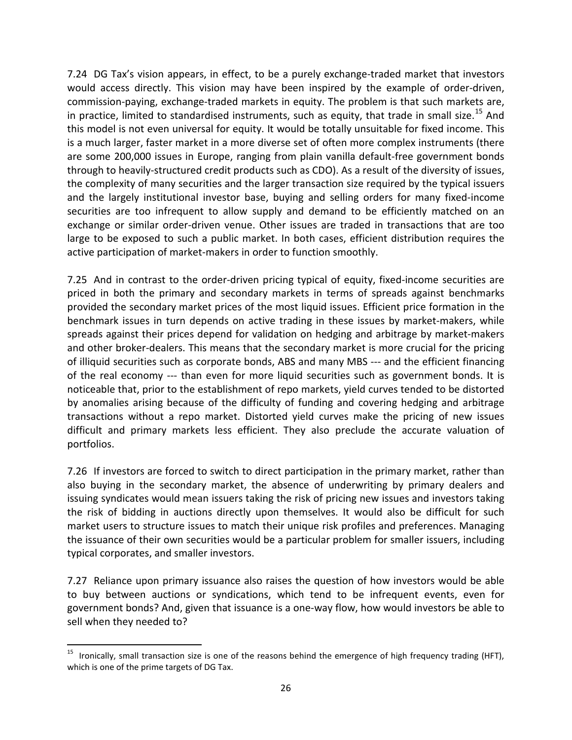7.24 DG Tax's vision appears, in effect, to be a purely exchange-traded market that investors would access directly. This vision may have been inspired by the example of order-driven, commission-paying, exchange-traded markets in equity. The problem is that such markets are, in practice, limited to standardised instruments, such as equity, that trade in small size.<sup>[15](#page-25-0)</sup> And this model is not even universal for equity. It would be totally unsuitable for fixed income. This is a much larger, faster market in a more diverse set of often more complex instruments (there are some 200,000 issues in Europe, ranging from plain vanilla default-free government bonds through to heavily-structured credit products such as CDO). As a result of the diversity of issues, the complexity of many securities and the larger transaction size required by the typical issuers and the largely institutional investor base, buying and selling orders for many fixed-income securities are too infrequent to allow supply and demand to be efficiently matched on an exchange or similar order-driven venue. Other issues are traded in transactions that are too large to be exposed to such a public market. In both cases, efficient distribution requires the active participation of market-makers in order to function smoothly.

7.25 And in contrast to the order-driven pricing typical of equity, fixed-income securities are priced in both the primary and secondary markets in terms of spreads against benchmarks provided the secondary market prices of the most liquid issues. Efficient price formation in the benchmark issues in turn depends on active trading in these issues by market-makers, while spreads against their prices depend for validation on hedging and arbitrage by market-makers and other broker-dealers. This means that the secondary market is more crucial for the pricing of illiquid securities such as corporate bonds, ABS and many MBS --- and the efficient financing of the real economy --- than even for more liquid securities such as government bonds. It is noticeable that, prior to the establishment of repo markets, yield curves tended to be distorted by anomalies arising because of the difficulty of funding and covering hedging and arbitrage transactions without a repo market. Distorted yield curves make the pricing of new issues difficult and primary markets less efficient. They also preclude the accurate valuation of portfolios.

7.26 If investors are forced to switch to direct participation in the primary market, rather than also buying in the secondary market, the absence of underwriting by primary dealers and issuing syndicates would mean issuers taking the risk of pricing new issues and investors taking the risk of bidding in auctions directly upon themselves. It would also be difficult for such market users to structure issues to match their unique risk profiles and preferences. Managing the issuance of their own securities would be a particular problem for smaller issuers, including typical corporates, and smaller investors.

7.27 Reliance upon primary issuance also raises the question of how investors would be able to buy between auctions or syndications, which tend to be infrequent events, even for government bonds? And, given that issuance is a one-way flow, how would investors be able to sell when they needed to?

<span id="page-25-0"></span><sup>&</sup>lt;sup>15</sup> Ironically, small transaction size is one of the reasons behind the emergence of high frequency trading (HFT), which is one of the prime targets of DG Tax.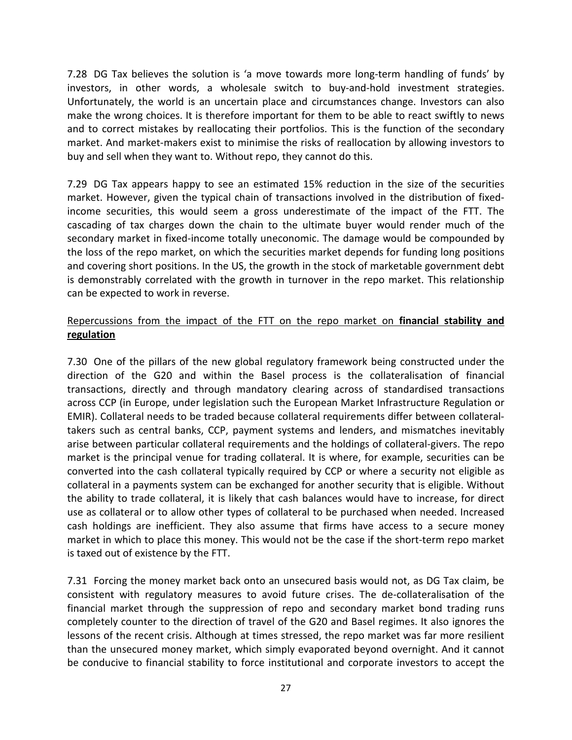7.28 DG Tax believes the solution is 'a move towards more long-term handling of funds' by investors, in other words, a wholesale switch to buy-and-hold investment strategies. Unfortunately, the world is an uncertain place and circumstances change. Investors can also make the wrong choices. It is therefore important for them to be able to react swiftly to news and to correct mistakes by reallocating their portfolios. This is the function of the secondary market. And market-makers exist to minimise the risks of reallocation by allowing investors to buy and sell when they want to. Without repo, they cannot do this.

7.29 DG Tax appears happy to see an estimated 15% reduction in the size of the securities market. However, given the typical chain of transactions involved in the distribution of fixedincome securities, this would seem a gross underestimate of the impact of the FTT. The cascading of tax charges down the chain to the ultimate buyer would render much of the secondary market in fixed-income totally uneconomic. The damage would be compounded by the loss of the repo market, on which the securities market depends for funding long positions and covering short positions. In the US, the growth in the stock of marketable government debt is demonstrably correlated with the growth in turnover in the repo market. This relationship can be expected to work in reverse.

### Repercussions from the impact of the FTT on the repo market on **financial stability and regulation**

7.30 One of the pillars of the new global regulatory framework being constructed under the direction of the G20 and within the Basel process is the collateralisation of financial transactions, directly and through mandatory clearing across of standardised transactions across CCP (in Europe, under legislation such the European Market Infrastructure Regulation or EMIR). Collateral needs to be traded because collateral requirements differ between collateraltakers such as central banks, CCP, payment systems and lenders, and mismatches inevitably arise between particular collateral requirements and the holdings of collateral-givers. The repo market is the principal venue for trading collateral. It is where, for example, securities can be converted into the cash collateral typically required by CCP or where a security not eligible as collateral in a payments system can be exchanged for another security that is eligible. Without the ability to trade collateral, it is likely that cash balances would have to increase, for direct use as collateral or to allow other types of collateral to be purchased when needed. Increased cash holdings are inefficient. They also assume that firms have access to a secure money market in which to place this money. This would not be the case if the short-term repo market is taxed out of existence by the FTT.

7.31 Forcing the money market back onto an unsecured basis would not, as DG Tax claim, be consistent with regulatory measures to avoid future crises. The de-collateralisation of the financial market through the suppression of repo and secondary market bond trading runs completely counter to the direction of travel of the G20 and Basel regimes. It also ignores the lessons of the recent crisis. Although at times stressed, the repo market was far more resilient than the unsecured money market, which simply evaporated beyond overnight. And it cannot be conducive to financial stability to force institutional and corporate investors to accept the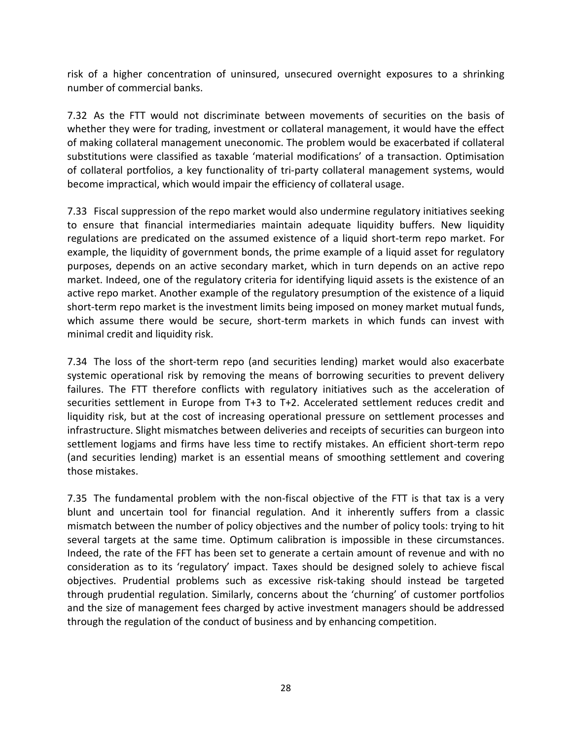risk of a higher concentration of uninsured, unsecured overnight exposures to a shrinking number of commercial banks.

7.32 As the FTT would not discriminate between movements of securities on the basis of whether they were for trading, investment or collateral management, it would have the effect of making collateral management uneconomic. The problem would be exacerbated if collateral substitutions were classified as taxable 'material modifications' of a transaction. Optimisation of collateral portfolios, a key functionality of tri-party collateral management systems, would become impractical, which would impair the efficiency of collateral usage.

7.33 Fiscal suppression of the repo market would also undermine regulatory initiatives seeking to ensure that financial intermediaries maintain adequate liquidity buffers. New liquidity regulations are predicated on the assumed existence of a liquid short-term repo market. For example, the liquidity of government bonds, the prime example of a liquid asset for regulatory purposes, depends on an active secondary market, which in turn depends on an active repo market. Indeed, one of the regulatory criteria for identifying liquid assets is the existence of an active repo market. Another example of the regulatory presumption of the existence of a liquid short-term repo market is the investment limits being imposed on money market mutual funds, which assume there would be secure, short-term markets in which funds can invest with minimal credit and liquidity risk.

7.34 The loss of the short-term repo (and securities lending) market would also exacerbate systemic operational risk by removing the means of borrowing securities to prevent delivery failures. The FTT therefore conflicts with regulatory initiatives such as the acceleration of securities settlement in Europe from T+3 to T+2. Accelerated settlement reduces credit and liquidity risk, but at the cost of increasing operational pressure on settlement processes and infrastructure. Slight mismatches between deliveries and receipts of securities can burgeon into settlement logjams and firms have less time to rectify mistakes. An efficient short-term repo (and securities lending) market is an essential means of smoothing settlement and covering those mistakes.

7.35 The fundamental problem with the non-fiscal objective of the FTT is that tax is a very blunt and uncertain tool for financial regulation. And it inherently suffers from a classic mismatch between the number of policy objectives and the number of policy tools: trying to hit several targets at the same time. Optimum calibration is impossible in these circumstances. Indeed, the rate of the FFT has been set to generate a certain amount of revenue and with no consideration as to its 'regulatory' impact. Taxes should be designed solely to achieve fiscal objectives. Prudential problems such as excessive risk-taking should instead be targeted through prudential regulation. Similarly, concerns about the 'churning' of customer portfolios and the size of management fees charged by active investment managers should be addressed through the regulation of the conduct of business and by enhancing competition.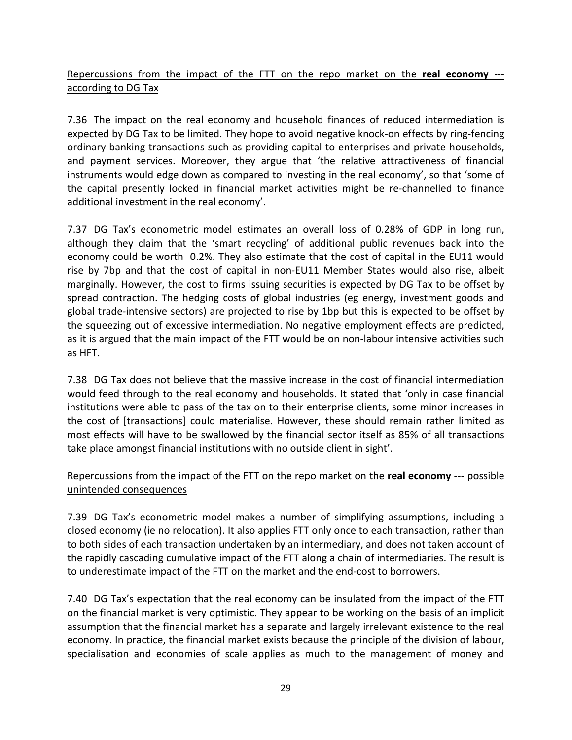Repercussions from the impact of the FTT on the repo market on the **real economy** -- according to DG Tax

7.36 The impact on the real economy and household finances of reduced intermediation is expected by DG Tax to be limited. They hope to avoid negative knock-on effects by ring-fencing ordinary banking transactions such as providing capital to enterprises and private households, and payment services. Moreover, they argue that 'the relative attractiveness of financial instruments would edge down as compared to investing in the real economy', so that 'some of the capital presently locked in financial market activities might be re-channelled to finance additional investment in the real economy'.

7.37 DG Tax's econometric model estimates an overall loss of 0.28% of GDP in long run, although they claim that the 'smart recycling' of additional public revenues back into the economy could be worth 0.2%. They also estimate that the cost of capital in the EU11 would rise by 7bp and that the cost of capital in non-EU11 Member States would also rise, albeit marginally. However, the cost to firms issuing securities is expected by DG Tax to be offset by spread contraction. The hedging costs of global industries (eg energy, investment goods and global trade-intensive sectors) are projected to rise by 1bp but this is expected to be offset by the squeezing out of excessive intermediation. No negative employment effects are predicted, as it is argued that the main impact of the FTT would be on non-labour intensive activities such as HFT.

7.38 DG Tax does not believe that the massive increase in the cost of financial intermediation would feed through to the real economy and households. It stated that 'only in case financial institutions were able to pass of the tax on to their enterprise clients, some minor increases in the cost of [transactions] could materialise. However, these should remain rather limited as most effects will have to be swallowed by the financial sector itself as 85% of all transactions take place amongst financial institutions with no outside client in sight'.

### Repercussions from the impact of the FTT on the repo market on the **real economy** --- possible unintended consequences

7.39 DG Tax's econometric model makes a number of simplifying assumptions, including a closed economy (ie no relocation). It also applies FTT only once to each transaction, rather than to both sides of each transaction undertaken by an intermediary, and does not taken account of the rapidly cascading cumulative impact of the FTT along a chain of intermediaries. The result is to underestimate impact of the FTT on the market and the end-cost to borrowers.

7.40 DG Tax's expectation that the real economy can be insulated from the impact of the FTT on the financial market is very optimistic. They appear to be working on the basis of an implicit assumption that the financial market has a separate and largely irrelevant existence to the real economy. In practice, the financial market exists because the principle of the division of labour, specialisation and economies of scale applies as much to the management of money and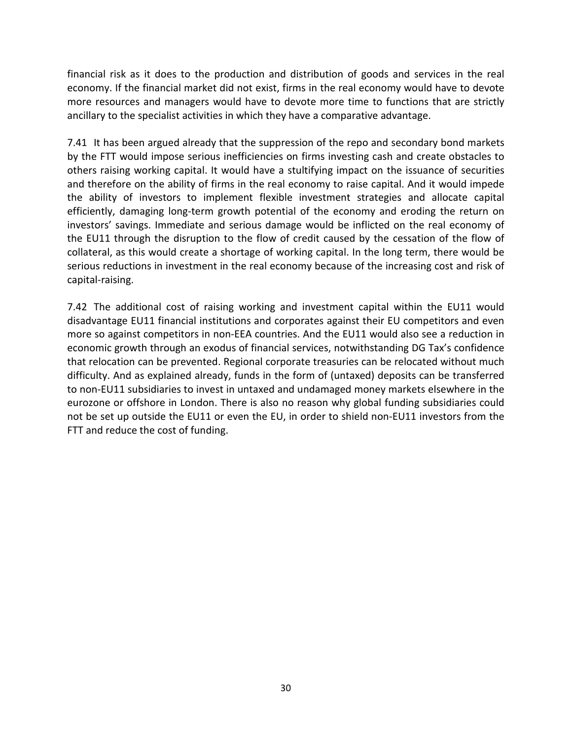financial risk as it does to the production and distribution of goods and services in the real economy. If the financial market did not exist, firms in the real economy would have to devote more resources and managers would have to devote more time to functions that are strictly ancillary to the specialist activities in which they have a comparative advantage.

7.41 It has been argued already that the suppression of the repo and secondary bond markets by the FTT would impose serious inefficiencies on firms investing cash and create obstacles to others raising working capital. It would have a stultifying impact on the issuance of securities and therefore on the ability of firms in the real economy to raise capital. And it would impede the ability of investors to implement flexible investment strategies and allocate capital efficiently, damaging long-term growth potential of the economy and eroding the return on investors' savings. Immediate and serious damage would be inflicted on the real economy of the EU11 through the disruption to the flow of credit caused by the cessation of the flow of collateral, as this would create a shortage of working capital. In the long term, there would be serious reductions in investment in the real economy because of the increasing cost and risk of capital-raising.

7.42 The additional cost of raising working and investment capital within the EU11 would disadvantage EU11 financial institutions and corporates against their EU competitors and even more so against competitors in non-EEA countries. And the EU11 would also see a reduction in economic growth through an exodus of financial services, notwithstanding DG Tax's confidence that relocation can be prevented. Regional corporate treasuries can be relocated without much difficulty. And as explained already, funds in the form of (untaxed) deposits can be transferred to non-EU11 subsidiaries to invest in untaxed and undamaged money markets elsewhere in the eurozone or offshore in London. There is also no reason why global funding subsidiaries could not be set up outside the EU11 or even the EU, in order to shield non-EU11 investors from the FTT and reduce the cost of funding.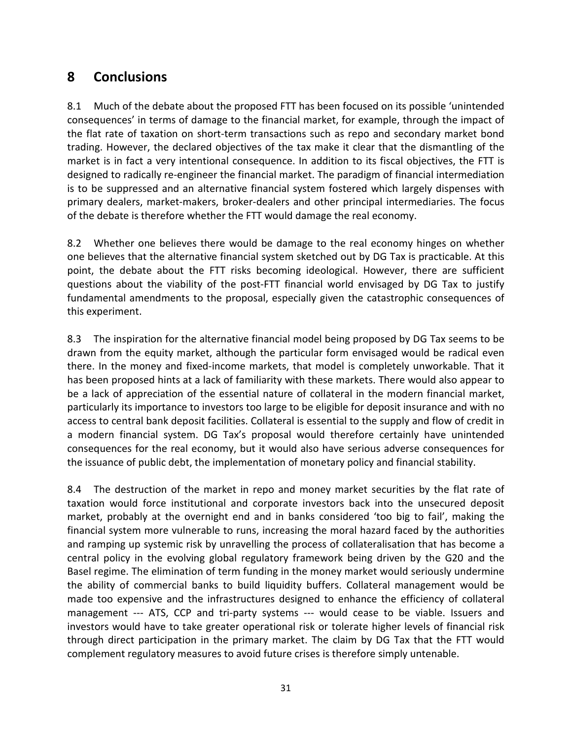# **8 Conclusions**

8.1 Much of the debate about the proposed FTT has been focused on its possible 'unintended consequences' in terms of damage to the financial market, for example, through the impact of the flat rate of taxation on short-term transactions such as repo and secondary market bond trading. However, the declared objectives of the tax make it clear that the dismantling of the market is in fact a very intentional consequence. In addition to its fiscal objectives, the FTT is designed to radically re-engineer the financial market. The paradigm of financial intermediation is to be suppressed and an alternative financial system fostered which largely dispenses with primary dealers, market-makers, broker-dealers and other principal intermediaries. The focus of the debate is therefore whether the FTT would damage the real economy.

8.2 Whether one believes there would be damage to the real economy hinges on whether one believes that the alternative financial system sketched out by DG Tax is practicable. At this point, the debate about the FTT risks becoming ideological. However, there are sufficient questions about the viability of the post-FTT financial world envisaged by DG Tax to justify fundamental amendments to the proposal, especially given the catastrophic consequences of this experiment.

8.3 The inspiration for the alternative financial model being proposed by DG Tax seems to be drawn from the equity market, although the particular form envisaged would be radical even there. In the money and fixed-income markets, that model is completely unworkable. That it has been proposed hints at a lack of familiarity with these markets. There would also appear to be a lack of appreciation of the essential nature of collateral in the modern financial market, particularly its importance to investors too large to be eligible for deposit insurance and with no access to central bank deposit facilities. Collateral is essential to the supply and flow of credit in a modern financial system. DG Tax's proposal would therefore certainly have unintended consequences for the real economy, but it would also have serious adverse consequences for the issuance of public debt, the implementation of monetary policy and financial stability.

8.4 The destruction of the market in repo and money market securities by the flat rate of taxation would force institutional and corporate investors back into the unsecured deposit market, probably at the overnight end and in banks considered 'too big to fail', making the financial system more vulnerable to runs, increasing the moral hazard faced by the authorities and ramping up systemic risk by unravelling the process of collateralisation that has become a central policy in the evolving global regulatory framework being driven by the G20 and the Basel regime. The elimination of term funding in the money market would seriously undermine the ability of commercial banks to build liquidity buffers. Collateral management would be made too expensive and the infrastructures designed to enhance the efficiency of collateral management --- ATS, CCP and tri-party systems --- would cease to be viable. Issuers and investors would have to take greater operational risk or tolerate higher levels of financial risk through direct participation in the primary market. The claim by DG Tax that the FTT would complement regulatory measures to avoid future crises is therefore simply untenable.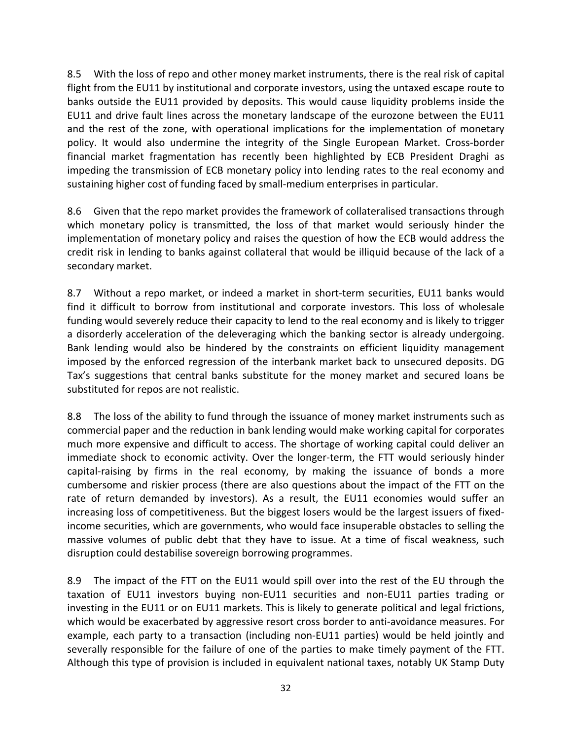8.5 With the loss of repo and other money market instruments, there is the real risk of capital flight from the EU11 by institutional and corporate investors, using the untaxed escape route to banks outside the EU11 provided by deposits. This would cause liquidity problems inside the EU11 and drive fault lines across the monetary landscape of the eurozone between the EU11 and the rest of the zone, with operational implications for the implementation of monetary policy. It would also undermine the integrity of the Single European Market. Cross-border financial market fragmentation has recently been highlighted by ECB President Draghi as impeding the transmission of ECB monetary policy into lending rates to the real economy and sustaining higher cost of funding faced by small-medium enterprises in particular.

8.6 Given that the repo market provides the framework of collateralised transactions through which monetary policy is transmitted, the loss of that market would seriously hinder the implementation of monetary policy and raises the question of how the ECB would address the credit risk in lending to banks against collateral that would be illiquid because of the lack of a secondary market.

8.7 Without a repo market, or indeed a market in short-term securities, EU11 banks would find it difficult to borrow from institutional and corporate investors. This loss of wholesale funding would severely reduce their capacity to lend to the real economy and is likely to trigger a disorderly acceleration of the deleveraging which the banking sector is already undergoing. Bank lending would also be hindered by the constraints on efficient liquidity management imposed by the enforced regression of the interbank market back to unsecured deposits. DG Tax's suggestions that central banks substitute for the money market and secured loans be substituted for repos are not realistic.

8.8 The loss of the ability to fund through the issuance of money market instruments such as commercial paper and the reduction in bank lending would make working capital for corporates much more expensive and difficult to access. The shortage of working capital could deliver an immediate shock to economic activity. Over the longer-term, the FTT would seriously hinder capital-raising by firms in the real economy, by making the issuance of bonds a more cumbersome and riskier process (there are also questions about the impact of the FTT on the rate of return demanded by investors). As a result, the EU11 economies would suffer an increasing loss of competitiveness. But the biggest losers would be the largest issuers of fixedincome securities, which are governments, who would face insuperable obstacles to selling the massive volumes of public debt that they have to issue. At a time of fiscal weakness, such disruption could destabilise sovereign borrowing programmes.

8.9 The impact of the FTT on the EU11 would spill over into the rest of the EU through the taxation of EU11 investors buying non-EU11 securities and non-EU11 parties trading or investing in the EU11 or on EU11 markets. This is likely to generate political and legal frictions, which would be exacerbated by aggressive resort cross border to anti-avoidance measures. For example, each party to a transaction (including non-EU11 parties) would be held jointly and severally responsible for the failure of one of the parties to make timely payment of the FTT. Although this type of provision is included in equivalent national taxes, notably UK Stamp Duty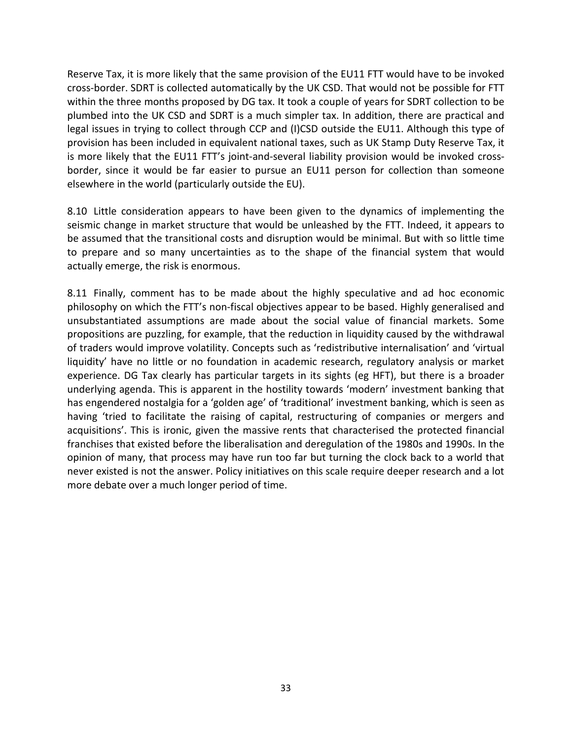Reserve Tax, it is more likely that the same provision of the EU11 FTT would have to be invoked cross-border. SDRT is collected automatically by the UK CSD. That would not be possible for FTT within the three months proposed by DG tax. It took a couple of years for SDRT collection to be plumbed into the UK CSD and SDRT is a much simpler tax. In addition, there are practical and legal issues in trying to collect through CCP and (I)CSD outside the EU11. Although this type of provision has been included in equivalent national taxes, such as UK Stamp Duty Reserve Tax, it is more likely that the EU11 FTT's joint-and-several liability provision would be invoked crossborder, since it would be far easier to pursue an EU11 person for collection than someone elsewhere in the world (particularly outside the EU).

8.10 Little consideration appears to have been given to the dynamics of implementing the seismic change in market structure that would be unleashed by the FTT. Indeed, it appears to be assumed that the transitional costs and disruption would be minimal. But with so little time to prepare and so many uncertainties as to the shape of the financial system that would actually emerge, the risk is enormous.

8.11 Finally, comment has to be made about the highly speculative and ad hoc economic philosophy on which the FTT's non-fiscal objectives appear to be based. Highly generalised and unsubstantiated assumptions are made about the social value of financial markets. Some propositions are puzzling, for example, that the reduction in liquidity caused by the withdrawal of traders would improve volatility. Concepts such as 'redistributive internalisation' and 'virtual liquidity' have no little or no foundation in academic research, regulatory analysis or market experience. DG Tax clearly has particular targets in its sights (eg HFT), but there is a broader underlying agenda. This is apparent in the hostility towards 'modern' investment banking that has engendered nostalgia for a 'golden age' of 'traditional' investment banking, which is seen as having 'tried to facilitate the raising of capital, restructuring of companies or mergers and acquisitions'. This is ironic, given the massive rents that characterised the protected financial franchises that existed before the liberalisation and deregulation of the 1980s and 1990s. In the opinion of many, that process may have run too far but turning the clock back to a world that never existed is not the answer. Policy initiatives on this scale require deeper research and a lot more debate over a much longer period of time.